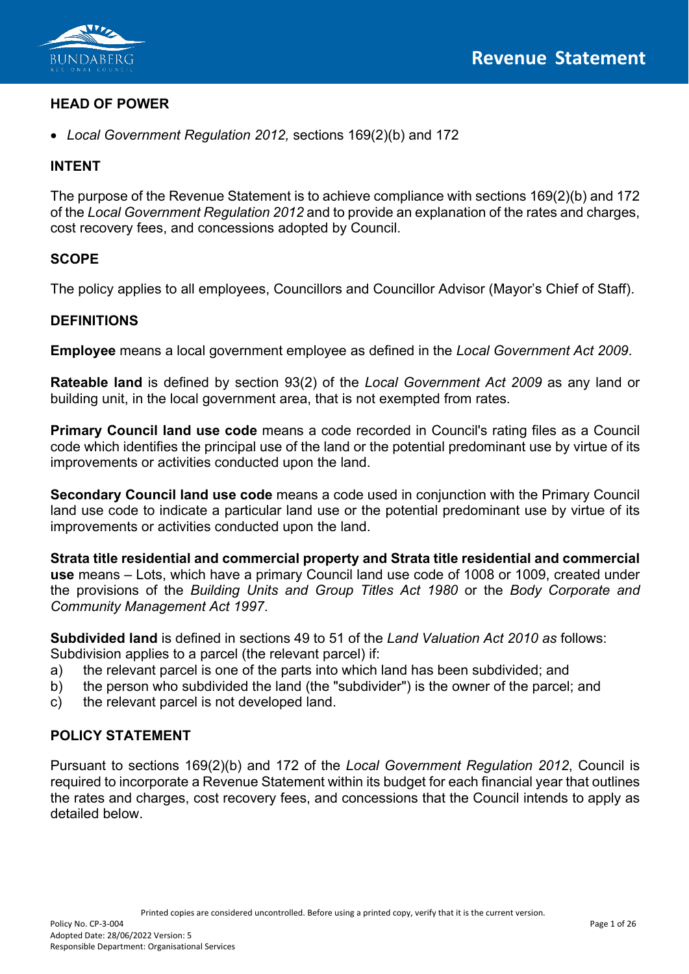

## **HEAD OF POWER**

• *Local Government Regulation 2012,* sections 169(2)(b) and 172

## **INTENT**

The purpose of the Revenue Statement is to achieve compliance with sections 169(2)(b) and 172 of the *Local Government Regulation 2012* and to provide an explanation of the rates and charges, cost recovery fees, and concessions adopted by Council.

### **SCOPE**

The policy applies to all employees, Councillors and Councillor Advisor (Mayor's Chief of Staff).

### **DEFINITIONS**

**Employee** means a local government employee as defined in the *Local Government Act 2009*.

**Rateable land** is defined by section 93(2) of the *Local Government Act 2009* as any land or building unit, in the local government area, that is not exempted from rates.

**Primary Council land use code** means a code recorded in Council's rating files as a Council code which identifies the principal use of the land or the potential predominant use by virtue of its improvements or activities conducted upon the land.

**Secondary Council land use code** means a code used in conjunction with the Primary Council land use code to indicate a particular land use or the potential predominant use by virtue of its improvements or activities conducted upon the land.

**Strata title residential and commercial property and Strata title residential and commercial use** means – Lots, which have a primary Council land use code of 1008 or 1009, created under the provisions of the *Building Units and Group Titles Act 1980* or the *Body Corporate and Community Management Act 1997*.

**Subdivided land** is defined in sections 49 to 51 of the *Land Valuation Act 2010 as* follows: Subdivision applies to a parcel (the relevant parcel) if:

- a) the relevant parcel is one of the parts into which land has been subdivided; and
- b) the person who subdivided the land (the "subdivider") is the owner of the parcel; and
- c) the relevant parcel is not developed land.

### **POLICY STATEMENT**

Pursuant to sections 169(2)(b) and 172 of the *Local Government Regulation 2012*, Council is required to incorporate a Revenue Statement within its budget for each financial year that outlines the rates and charges, cost recovery fees, and concessions that the Council intends to apply as detailed below.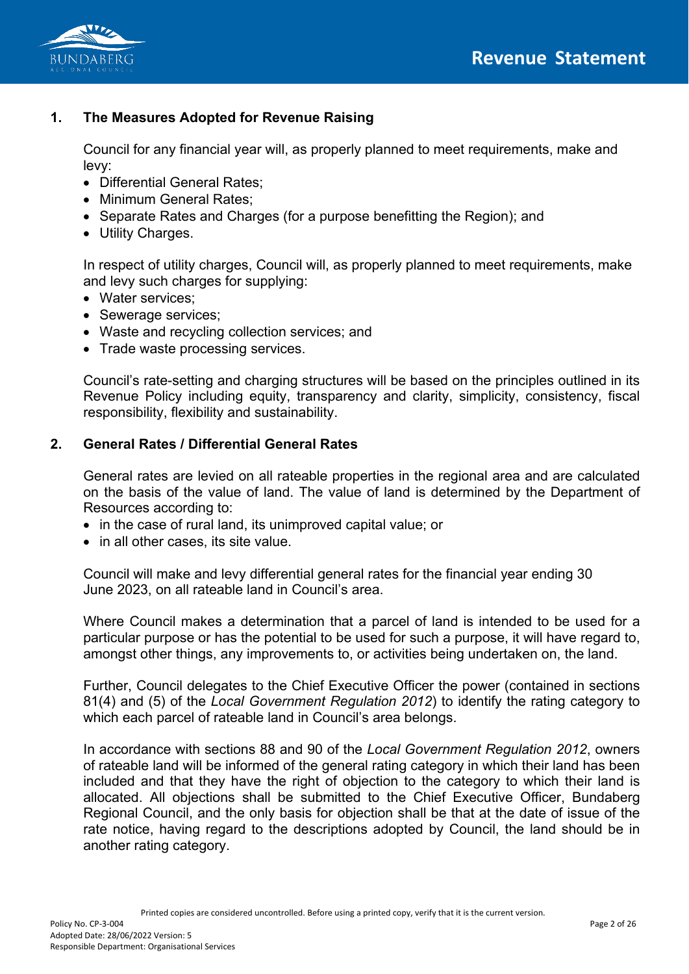

# **1. The Measures Adopted for Revenue Raising**

Council for any financial year will, as properly planned to meet requirements, make and levy:

- Differential General Rates;
- Minimum General Rates;
- Separate Rates and Charges (for a purpose benefitting the Region); and
- Utility Charges.

In respect of utility charges, Council will, as properly planned to meet requirements, make and levy such charges for supplying:

- Water services;
- Sewerage services;
- Waste and recycling collection services; and
- Trade waste processing services.

Council's rate-setting and charging structures will be based on the principles outlined in its Revenue Policy including equity, transparency and clarity, simplicity, consistency, fiscal responsibility, flexibility and sustainability.

### **2. General Rates / Differential General Rates**

General rates are levied on all rateable properties in the regional area and are calculated on the basis of the value of land. The value of land is determined by the Department of Resources according to:

- in the case of rural land, its unimproved capital value; or
- in all other cases, its site value.

Council will make and levy differential general rates for the financial year ending 30 June 2023, on all rateable land in Council's area.

Where Council makes a determination that a parcel of land is intended to be used for a particular purpose or has the potential to be used for such a purpose, it will have regard to, amongst other things, any improvements to, or activities being undertaken on, the land.

Further, Council delegates to the Chief Executive Officer the power (contained in sections 81(4) and (5) of the *Local Government Regulation 2012*) to identify the rating category to which each parcel of rateable land in Council's area belongs.

In accordance with sections 88 and 90 of the *Local Government Regulation 2012*, owners of rateable land will be informed of the general rating category in which their land has been included and that they have the right of objection to the category to which their land is allocated. All objections shall be submitted to the Chief Executive Officer, Bundaberg Regional Council, and the only basis for objection shall be that at the date of issue of the rate notice, having regard to the descriptions adopted by Council, the land should be in another rating category.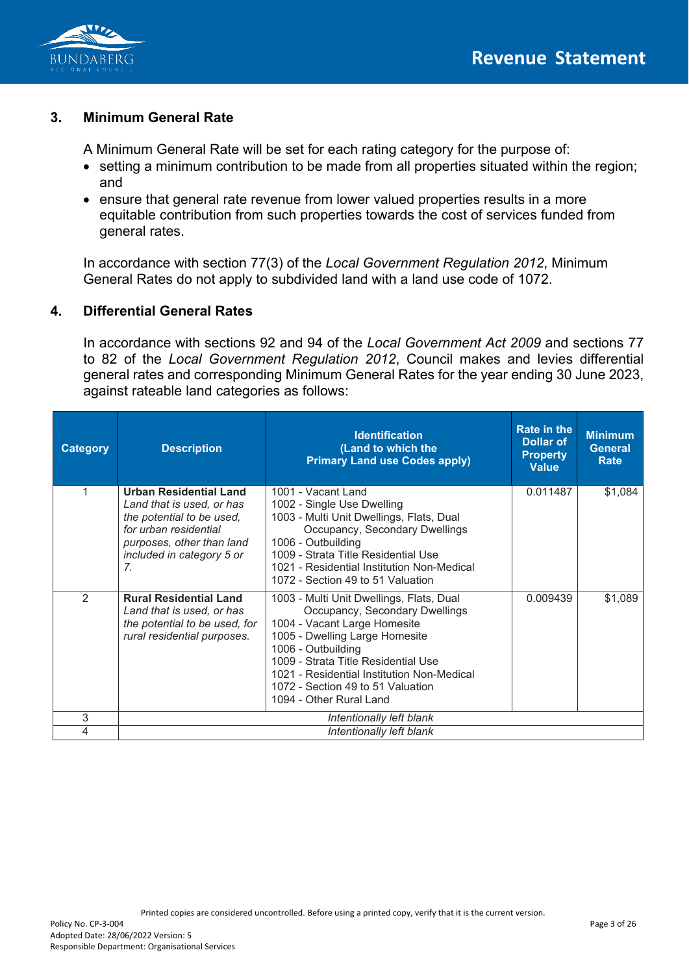

### **3. Minimum General Rate**

A Minimum General Rate will be set for each rating category for the purpose of:

- setting a minimum contribution to be made from all properties situated within the region; and
- ensure that general rate revenue from lower valued properties results in a more equitable contribution from such properties towards the cost of services funded from general rates.

In accordance with section 77(3) of the *Local Government Regulation 2012*, Minimum General Rates do not apply to subdivided land with a land use code of 1072.

### **4. Differential General Rates**

In accordance with sections 92 and 94 of the *Local Government Act 2009* and sections 77 to 82 of the *Local Government Regulation 2012*, Council makes and levies differential general rates and corresponding Minimum General Rates for the year ending 30 June 2023, against rateable land categories as follows:

| <b>Category</b> | <b>Description</b>                                                                                                                                                               | <b>Identification</b><br>(Land to which the<br><b>Primary Land use Codes apply)</b>                                                                                                                                                                                                                                     | <b>Rate in the</b><br>Dollar of<br><b>Property</b><br><b>Value</b> | <b>Minimum</b><br><b>General</b><br>Rate |
|-----------------|----------------------------------------------------------------------------------------------------------------------------------------------------------------------------------|-------------------------------------------------------------------------------------------------------------------------------------------------------------------------------------------------------------------------------------------------------------------------------------------------------------------------|--------------------------------------------------------------------|------------------------------------------|
| 1               | <b>Urban Residential Land</b><br>Land that is used, or has<br>the potential to be used,<br>for urban residential<br>purposes, other than land<br>included in category 5 or<br>7. | 1001 - Vacant Land<br>1002 - Single Use Dwelling<br>1003 - Multi Unit Dwellings, Flats, Dual<br>Occupancy, Secondary Dwellings<br>1006 - Outbuilding<br>1009 - Strata Title Residential Use<br>1021 - Residential Institution Non-Medical<br>1072 - Section 49 to 51 Valuation                                          | 0.011487                                                           | \$1,084                                  |
| $\mathcal{P}$   | <b>Rural Residential Land</b><br>Land that is used, or has<br>the potential to be used, for<br>rural residential purposes.                                                       | 1003 - Multi Unit Dwellings, Flats, Dual<br>Occupancy, Secondary Dwellings<br>1004 - Vacant Large Homesite<br>1005 - Dwelling Large Homesite<br>1006 - Outbuilding<br>1009 - Strata Title Residential Use<br>1021 - Residential Institution Non-Medical<br>1072 - Section 49 to 51 Valuation<br>1094 - Other Rural Land | 0.009439                                                           | \$1,089                                  |
| 3               |                                                                                                                                                                                  | Intentionally left blank                                                                                                                                                                                                                                                                                                |                                                                    |                                          |
| 4               | Intentionally left blank                                                                                                                                                         |                                                                                                                                                                                                                                                                                                                         |                                                                    |                                          |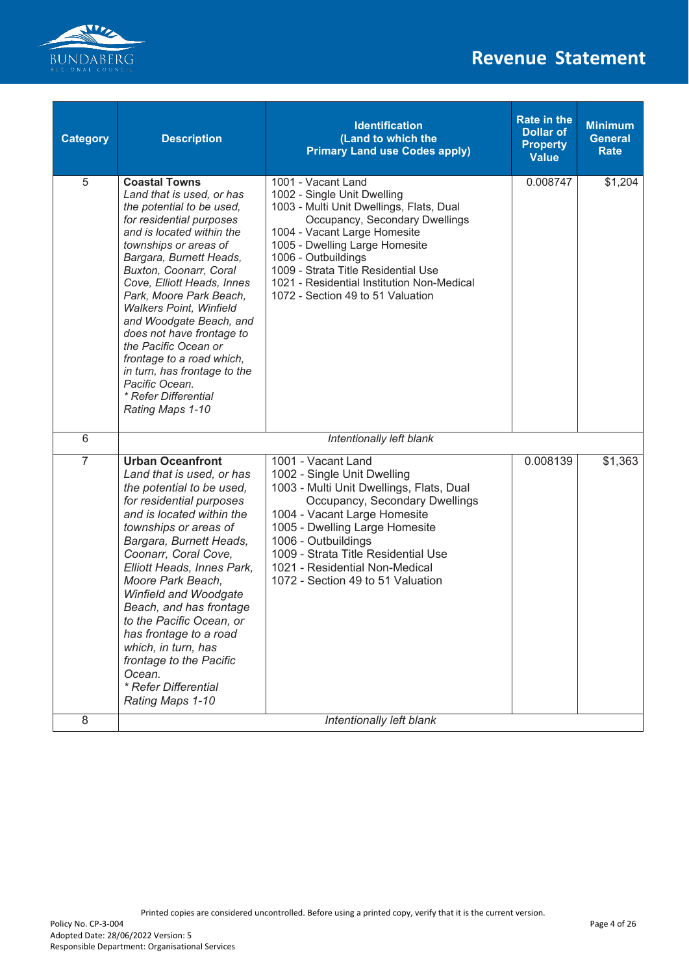

| <b>Category</b> | <b>Description</b>                                                                                                                                                                                                                                                                                                                                                                                                                                                                                                          | <b>Identification</b><br>(Land to which the<br><b>Primary Land use Codes apply)</b>                                                                                                                                                                                                                                                                | <b>Rate in the</b><br><b>Dollar of</b><br><b>Property</b><br><b>Value</b> | <b>Minimum</b><br><b>General</b><br><b>Rate</b> |
|-----------------|-----------------------------------------------------------------------------------------------------------------------------------------------------------------------------------------------------------------------------------------------------------------------------------------------------------------------------------------------------------------------------------------------------------------------------------------------------------------------------------------------------------------------------|----------------------------------------------------------------------------------------------------------------------------------------------------------------------------------------------------------------------------------------------------------------------------------------------------------------------------------------------------|---------------------------------------------------------------------------|-------------------------------------------------|
| 5               | <b>Coastal Towns</b><br>Land that is used, or has<br>the potential to be used,<br>for residential purposes<br>and is located within the<br>townships or areas of<br>Bargara, Burnett Heads,<br>Buxton, Coonarr, Coral<br>Cove, Elliott Heads, Innes<br>Park, Moore Park Beach,<br><b>Walkers Point, Winfield</b><br>and Woodgate Beach, and<br>does not have frontage to<br>the Pacific Ocean or<br>frontage to a road which,<br>in turn, has frontage to the<br>Pacific Ocean.<br>* Refer Differential<br>Rating Maps 1-10 | 1001 - Vacant Land<br>1002 - Single Unit Dwelling<br>1003 - Multi Unit Dwellings, Flats, Dual<br>Occupancy, Secondary Dwellings<br>1004 - Vacant Large Homesite<br>1005 - Dwelling Large Homesite<br>1006 - Outbuildings<br>1009 - Strata Title Residential Use<br>1021 - Residential Institution Non-Medical<br>1072 - Section 49 to 51 Valuation | 0.008747                                                                  | \$1,204                                         |
| 6               |                                                                                                                                                                                                                                                                                                                                                                                                                                                                                                                             | Intentionally left blank                                                                                                                                                                                                                                                                                                                           |                                                                           |                                                 |
| $\overline{7}$  | <b>Urban Oceanfront</b><br>Land that is used, or has<br>the potential to be used,<br>for residential purposes<br>and is located within the<br>townships or areas of<br>Bargara, Burnett Heads,<br>Coonarr, Coral Cove,<br>Elliott Heads, Innes Park,<br>Moore Park Beach.<br>Winfield and Woodgate<br>Beach, and has frontage<br>to the Pacific Ocean, or<br>has frontage to a road<br>which, in turn, has<br>frontage to the Pacific<br>Ocean.<br>* Refer Differential<br>Rating Maps 1-10                                 | 1001 - Vacant Land<br>1002 - Single Unit Dwelling<br>1003 - Multi Unit Dwellings, Flats, Dual<br>Occupancy, Secondary Dwellings<br>1004 - Vacant Large Homesite<br>1005 - Dwelling Large Homesite<br>1006 - Outbuildings<br>1009 - Strata Title Residential Use<br>1021 - Residential Non-Medical<br>1072 - Section 49 to 51 Valuation             | 0.008139                                                                  | \$1,363                                         |
| 8               |                                                                                                                                                                                                                                                                                                                                                                                                                                                                                                                             | Intentionally left blank                                                                                                                                                                                                                                                                                                                           |                                                                           |                                                 |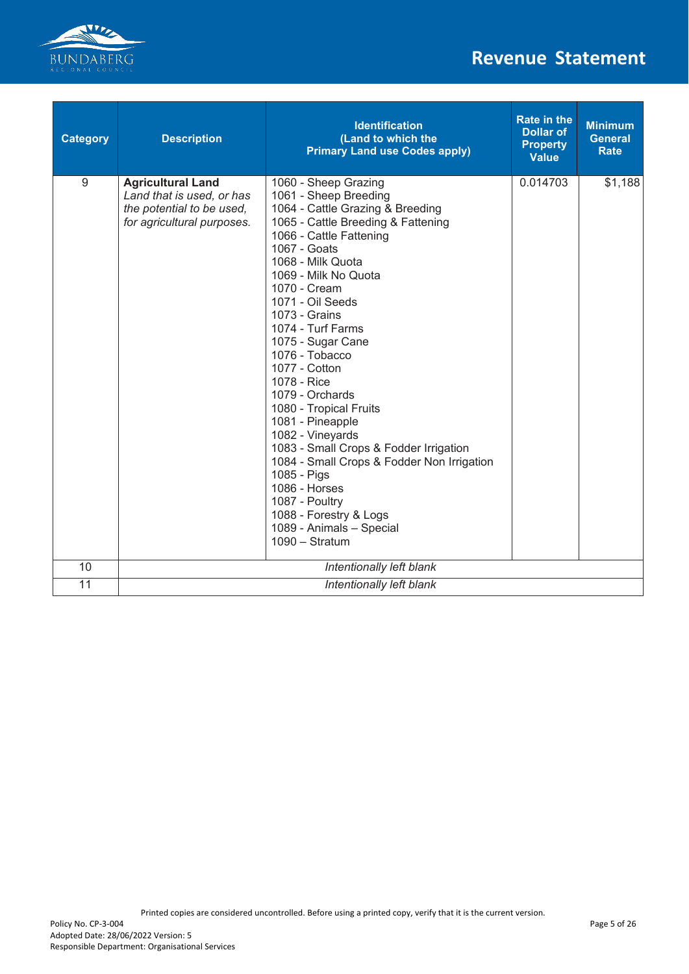

| <b>Category</b> | <b>Description</b>                                                                                               | <b>Identification</b><br>(Land to which the<br><b>Primary Land use Codes apply)</b>                                                                                                                                                                                                                                                                                                                                                                                                                                                                                                                                                                                       | <b>Rate in the</b><br><b>Dollar of</b><br><b>Property</b><br><b>Value</b> | <b>Minimum</b><br><b>General</b><br><b>Rate</b> |
|-----------------|------------------------------------------------------------------------------------------------------------------|---------------------------------------------------------------------------------------------------------------------------------------------------------------------------------------------------------------------------------------------------------------------------------------------------------------------------------------------------------------------------------------------------------------------------------------------------------------------------------------------------------------------------------------------------------------------------------------------------------------------------------------------------------------------------|---------------------------------------------------------------------------|-------------------------------------------------|
| 9               | <b>Agricultural Land</b><br>Land that is used, or has<br>the potential to be used,<br>for agricultural purposes. | 1060 - Sheep Grazing<br>1061 - Sheep Breeding<br>1064 - Cattle Grazing & Breeding<br>1065 - Cattle Breeding & Fattening<br>1066 - Cattle Fattening<br>1067 - Goats<br>1068 - Milk Quota<br>1069 - Milk No Quota<br>1070 - Cream<br>1071 - Oil Seeds<br>1073 - Grains<br>1074 - Turf Farms<br>1075 - Sugar Cane<br>1076 - Tobacco<br>1077 - Cotton<br>1078 - Rice<br>1079 - Orchards<br>1080 - Tropical Fruits<br>1081 - Pineapple<br>1082 - Vineyards<br>1083 - Small Crops & Fodder Irrigation<br>1084 - Small Crops & Fodder Non Irrigation<br>1085 - Pigs<br>1086 - Horses<br>1087 - Poultry<br>1088 - Forestry & Logs<br>1089 - Animals - Special<br>$1090 - Stratum$ | 0.014703                                                                  | \$1,188                                         |
| 10              | Intentionally left blank                                                                                         |                                                                                                                                                                                                                                                                                                                                                                                                                                                                                                                                                                                                                                                                           |                                                                           |                                                 |
| 11              | Intentionally left blank                                                                                         |                                                                                                                                                                                                                                                                                                                                                                                                                                                                                                                                                                                                                                                                           |                                                                           |                                                 |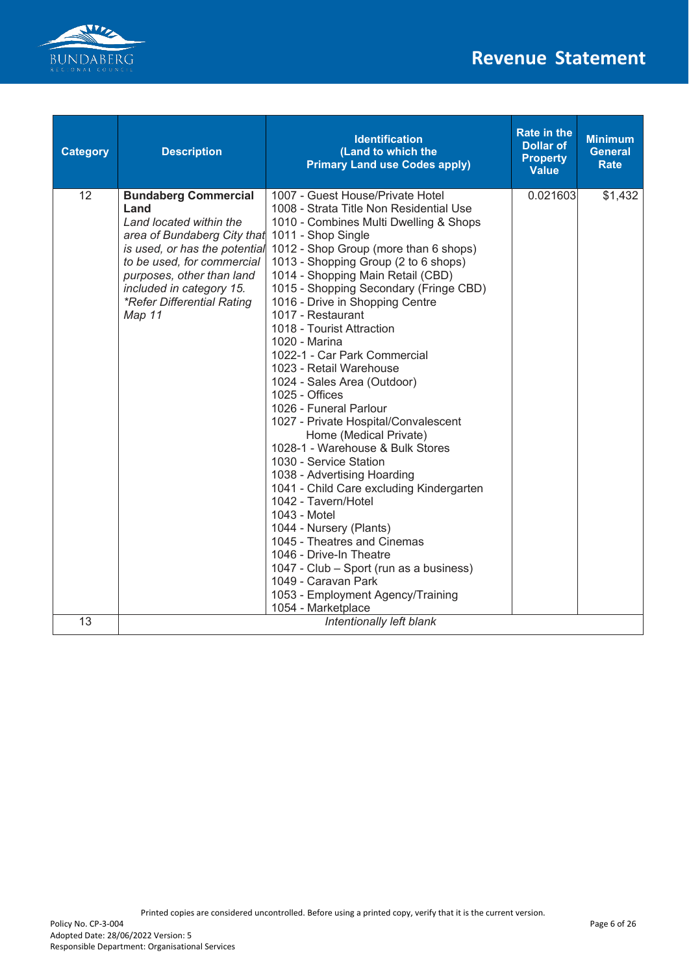

| <b>Category</b> | <b>Description</b>                                                                                                                                                                                                                                                   | <b>Identification</b><br>(Land to which the<br><b>Primary Land use Codes apply)</b>                                                                                                                                                                                                                                                                                                                                                                                                                                                                                                                                                                                                                                                                                                                                                                                                                                                                                                                                         | <b>Rate in the</b><br><b>Dollar of</b><br><b>Property</b><br><b>Value</b> | <b>Minimum</b><br><b>General</b><br><b>Rate</b> |
|-----------------|----------------------------------------------------------------------------------------------------------------------------------------------------------------------------------------------------------------------------------------------------------------------|-----------------------------------------------------------------------------------------------------------------------------------------------------------------------------------------------------------------------------------------------------------------------------------------------------------------------------------------------------------------------------------------------------------------------------------------------------------------------------------------------------------------------------------------------------------------------------------------------------------------------------------------------------------------------------------------------------------------------------------------------------------------------------------------------------------------------------------------------------------------------------------------------------------------------------------------------------------------------------------------------------------------------------|---------------------------------------------------------------------------|-------------------------------------------------|
| 12              | <b>Bundaberg Commercial</b><br>Land<br>Land located within the<br>area of Bundaberg City that<br>is used, or has the potential<br>to be used, for commercial<br>purposes, other than land<br>included in category 15.<br>*Refer Differential Rating<br><b>Map 11</b> | 1007 - Guest House/Private Hotel<br>1008 - Strata Title Non Residential Use<br>1010 - Combines Multi Dwelling & Shops<br>1011 - Shop Single<br>1012 - Shop Group (more than 6 shops)<br>1013 - Shopping Group (2 to 6 shops)<br>1014 - Shopping Main Retail (CBD)<br>1015 - Shopping Secondary (Fringe CBD)<br>1016 - Drive in Shopping Centre<br>1017 - Restaurant<br>1018 - Tourist Attraction<br>1020 - Marina<br>1022-1 - Car Park Commercial<br>1023 - Retail Warehouse<br>1024 - Sales Area (Outdoor)<br>1025 - Offices<br>1026 - Funeral Parlour<br>1027 - Private Hospital/Convalescent<br>Home (Medical Private)<br>1028-1 - Warehouse & Bulk Stores<br>1030 - Service Station<br>1038 - Advertising Hoarding<br>1041 - Child Care excluding Kindergarten<br>1042 - Tavern/Hotel<br>1043 - Motel<br>1044 - Nursery (Plants)<br>1045 - Theatres and Cinemas<br>1046 - Drive-In Theatre<br>1047 - Club - Sport (run as a business)<br>1049 - Caravan Park<br>1053 - Employment Agency/Training<br>1054 - Marketplace | 0.021603                                                                  | \$1,432                                         |
| 13              |                                                                                                                                                                                                                                                                      | Intentionally left blank                                                                                                                                                                                                                                                                                                                                                                                                                                                                                                                                                                                                                                                                                                                                                                                                                                                                                                                                                                                                    |                                                                           |                                                 |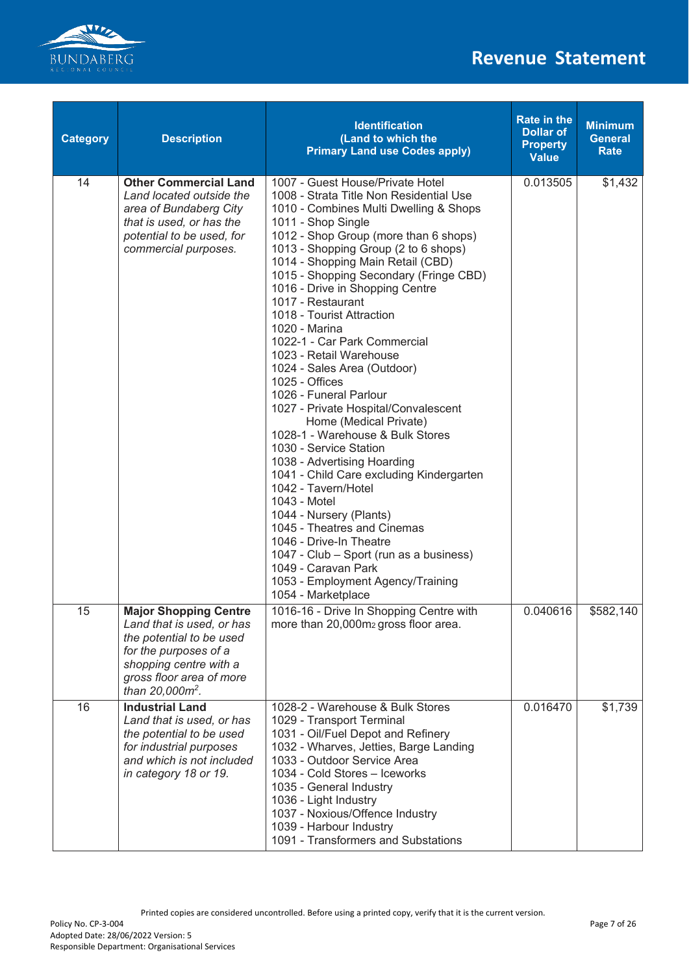

| <b>Category</b> | <b>Description</b>                                                                                                                                                                                  | <b>Identification</b><br>(Land to which the<br><b>Primary Land use Codes apply)</b>                                                                                                                                                                                                                                                                                                                                                                                                                                                                                                                                                                                                                                                                                                                                                                                                                                                                                                                                         | <b>Rate in the</b><br><b>Dollar of</b><br><b>Property</b><br><b>Value</b> | <b>Minimum</b><br><b>General</b><br><b>Rate</b> |
|-----------------|-----------------------------------------------------------------------------------------------------------------------------------------------------------------------------------------------------|-----------------------------------------------------------------------------------------------------------------------------------------------------------------------------------------------------------------------------------------------------------------------------------------------------------------------------------------------------------------------------------------------------------------------------------------------------------------------------------------------------------------------------------------------------------------------------------------------------------------------------------------------------------------------------------------------------------------------------------------------------------------------------------------------------------------------------------------------------------------------------------------------------------------------------------------------------------------------------------------------------------------------------|---------------------------------------------------------------------------|-------------------------------------------------|
| 14              | <b>Other Commercial Land</b><br>Land located outside the<br>area of Bundaberg City<br>that is used, or has the<br>potential to be used, for<br>commercial purposes.                                 | 1007 - Guest House/Private Hotel<br>1008 - Strata Title Non Residential Use<br>1010 - Combines Multi Dwelling & Shops<br>1011 - Shop Single<br>1012 - Shop Group (more than 6 shops)<br>1013 - Shopping Group (2 to 6 shops)<br>1014 - Shopping Main Retail (CBD)<br>1015 - Shopping Secondary (Fringe CBD)<br>1016 - Drive in Shopping Centre<br>1017 - Restaurant<br>1018 - Tourist Attraction<br>1020 - Marina<br>1022-1 - Car Park Commercial<br>1023 - Retail Warehouse<br>1024 - Sales Area (Outdoor)<br>1025 - Offices<br>1026 - Funeral Parlour<br>1027 - Private Hospital/Convalescent<br>Home (Medical Private)<br>1028-1 - Warehouse & Bulk Stores<br>1030 - Service Station<br>1038 - Advertising Hoarding<br>1041 - Child Care excluding Kindergarten<br>1042 - Tavern/Hotel<br>1043 - Motel<br>1044 - Nursery (Plants)<br>1045 - Theatres and Cinemas<br>1046 - Drive-In Theatre<br>1047 - Club - Sport (run as a business)<br>1049 - Caravan Park<br>1053 - Employment Agency/Training<br>1054 - Marketplace | 0.013505                                                                  | \$1,432                                         |
| 15              | <b>Major Shopping Centre</b><br>Land that is used, or has<br>the potential to be used<br>for the purposes of a<br>shopping centre with a<br>gross floor area of more<br>than 20,000m <sup>2</sup> . | 1016-16 - Drive In Shopping Centre with<br>more than 20,000m <sub>2</sub> gross floor area.                                                                                                                                                                                                                                                                                                                                                                                                                                                                                                                                                                                                                                                                                                                                                                                                                                                                                                                                 | 0.040616                                                                  | \$582,140                                       |
| 16              | <b>Industrial Land</b><br>Land that is used, or has<br>the potential to be used<br>for industrial purposes<br>and which is not included<br>in category 18 or 19.                                    | 1028-2 - Warehouse & Bulk Stores<br>1029 - Transport Terminal<br>1031 - Oil/Fuel Depot and Refinery<br>1032 - Wharves, Jetties, Barge Landing<br>1033 - Outdoor Service Area<br>1034 - Cold Stores - Iceworks<br>1035 - General Industry<br>1036 - Light Industry<br>1037 - Noxious/Offence Industry<br>1039 - Harbour Industry<br>1091 - Transformers and Substations                                                                                                                                                                                                                                                                                                                                                                                                                                                                                                                                                                                                                                                      | 0.016470                                                                  | \$1,739                                         |

Printed copies are considered uncontrolled. Before using a printed copy, verify that it is the current version.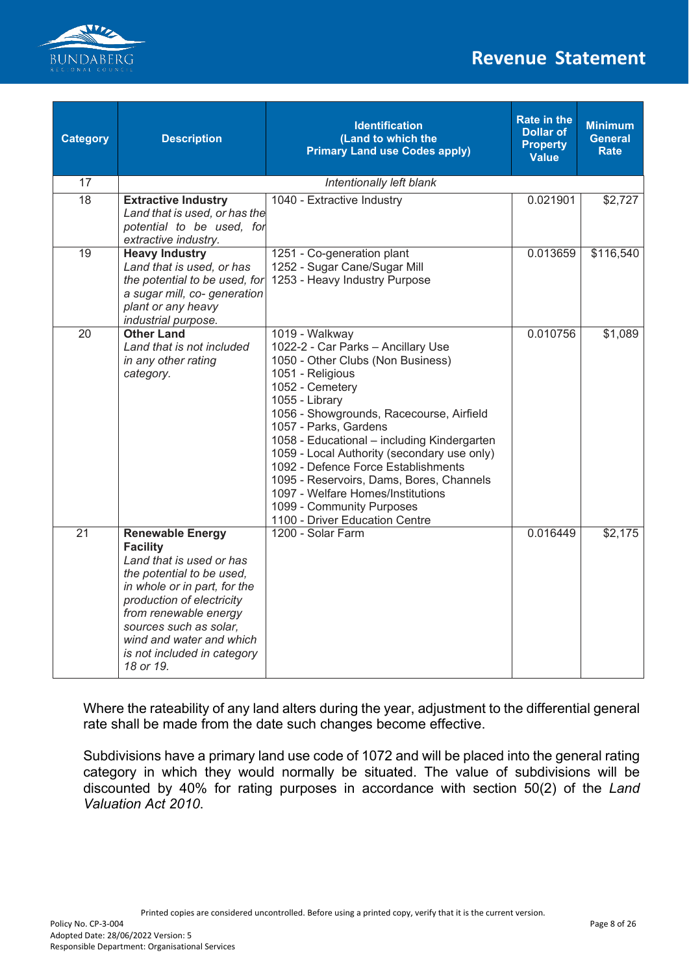

| <b>Category</b> | <b>Description</b>                                                                                                                                                                                                                                                                          | <b>Identification</b><br>(Land to which the<br><b>Primary Land use Codes apply)</b>                                                                                                                                                                                                                                                                                                                                                                                                                          | <b>Rate in the</b><br><b>Dollar of</b><br><b>Property</b><br><b>Value</b> | <b>Minimum</b><br><b>General</b><br><b>Rate</b> |
|-----------------|---------------------------------------------------------------------------------------------------------------------------------------------------------------------------------------------------------------------------------------------------------------------------------------------|--------------------------------------------------------------------------------------------------------------------------------------------------------------------------------------------------------------------------------------------------------------------------------------------------------------------------------------------------------------------------------------------------------------------------------------------------------------------------------------------------------------|---------------------------------------------------------------------------|-------------------------------------------------|
| 17              |                                                                                                                                                                                                                                                                                             | Intentionally left blank                                                                                                                                                                                                                                                                                                                                                                                                                                                                                     |                                                                           |                                                 |
| $\overline{18}$ | <b>Extractive Industry</b><br>Land that is used, or has the<br>potential to be used, for<br>extractive industry.                                                                                                                                                                            | 1040 - Extractive Industry                                                                                                                                                                                                                                                                                                                                                                                                                                                                                   | 0.021901                                                                  | \$2,727                                         |
| 19              | <b>Heavy Industry</b><br>Land that is used, or has<br>the potential to be used, for<br>a sugar mill, co- generation<br>plant or any heavy<br>industrial purpose.                                                                                                                            | 1251 - Co-generation plant<br>1252 - Sugar Cane/Sugar Mill<br>1253 - Heavy Industry Purpose                                                                                                                                                                                                                                                                                                                                                                                                                  | 0.013659                                                                  | \$116,540                                       |
| 20              | <b>Other Land</b><br>Land that is not included<br>in any other rating<br>category.                                                                                                                                                                                                          | 1019 - Walkway<br>1022-2 - Car Parks - Ancillary Use<br>1050 - Other Clubs (Non Business)<br>1051 - Religious<br>1052 - Cemetery<br>1055 - Library<br>1056 - Showgrounds, Racecourse, Airfield<br>1057 - Parks, Gardens<br>1058 - Educational - including Kindergarten<br>1059 - Local Authority (secondary use only)<br>1092 - Defence Force Establishments<br>1095 - Reservoirs, Dams, Bores, Channels<br>1097 - Welfare Homes/Institutions<br>1099 - Community Purposes<br>1100 - Driver Education Centre | 0.010756                                                                  | \$1,089                                         |
| 21              | <b>Renewable Energy</b><br><b>Facility</b><br>Land that is used or has<br>the potential to be used,<br>in whole or in part, for the<br>production of electricity<br>from renewable energy<br>sources such as solar,<br>wind and water and which<br>is not included in category<br>18 or 19. | 1200 - Solar Farm                                                                                                                                                                                                                                                                                                                                                                                                                                                                                            | 0.016449                                                                  | \$2,175                                         |

Where the rateability of any land alters during the year, adjustment to the differential general rate shall be made from the date such changes become effective.

Subdivisions have a primary land use code of 1072 and will be placed into the general rating category in which they would normally be situated. The value of subdivisions will be discounted by 40% for rating purposes in accordance with section 50(2) of the *Land Valuation Act 2010*.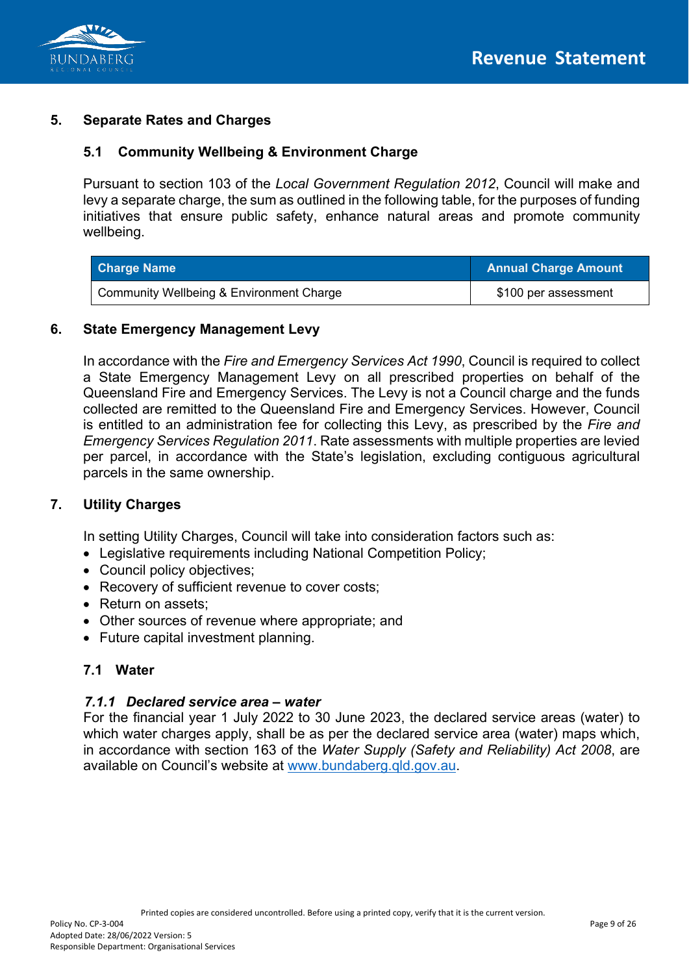

## **5. Separate Rates and Charges**

## **5.1 Community Wellbeing & Environment Charge**

Pursuant to section 103 of the *Local Government Regulation 2012*, Council will make and levy a separate charge, the sum as outlined in the following table, for the purposes of funding initiatives that ensure public safety, enhance natural areas and promote community wellbeing.

| <b>Charge Name</b>                       | <b>Annual Charge Amount</b> |
|------------------------------------------|-----------------------------|
| Community Wellbeing & Environment Charge | \$100 per assessment        |

#### **6. State Emergency Management Levy**

In accordance with the *Fire and Emergency Services Act 1990*, Council is required to collect a State Emergency Management Levy on all prescribed properties on behalf of the Queensland Fire and Emergency Services. The Levy is not a Council charge and the funds collected are remitted to the Queensland Fire and Emergency Services. However, Council is entitled to an administration fee for collecting this Levy, as prescribed by the *Fire and Emergency Services Regulation 2011*. Rate assessments with multiple properties are levied per parcel, in accordance with the State's legislation, excluding contiguous agricultural parcels in the same ownership.

### **7. Utility Charges**

In setting Utility Charges, Council will take into consideration factors such as:

- Legislative requirements including National Competition Policy;
- Council policy objectives;
- Recovery of sufficient revenue to cover costs;
- Return on assets:
- Other sources of revenue where appropriate; and
- Future capital investment planning.

### **7.1 Water**

#### *7.1.1 Declared service area – water*

For the financial year 1 July 2022 to 30 June 2023, the declared service areas (water) to which water charges apply, shall be as per the declared service area (water) maps which, in accordance with section 163 of the *Water Supply (Safety and Reliability) Act 2008*, are available on Council's website at [www.bundaberg.qld.gov.au.](http://www.bundaberg.qld.gov.au/)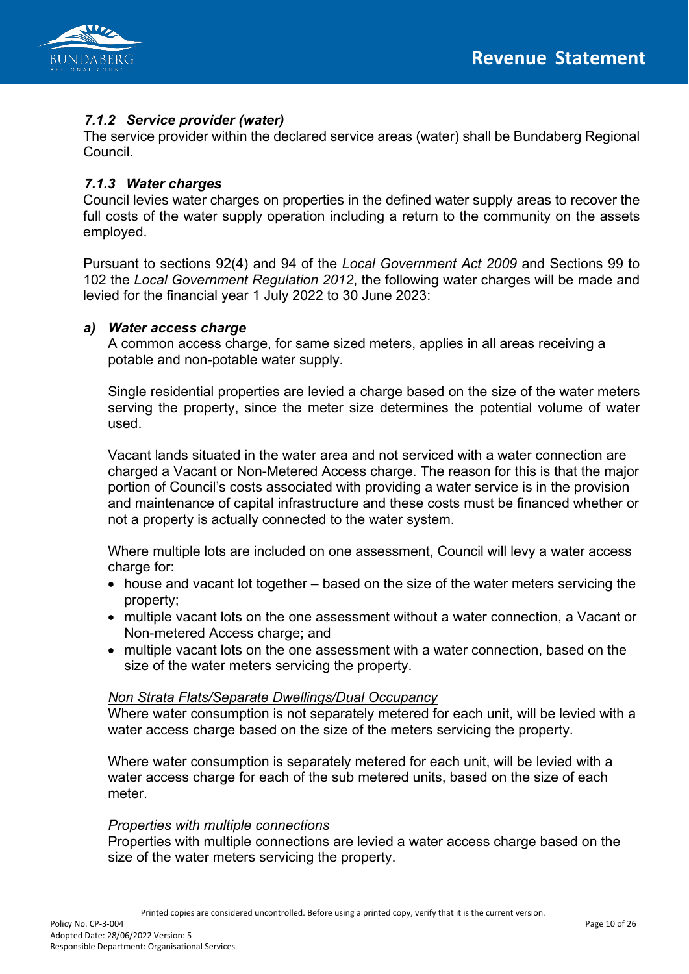

# *7.1.2 Service provider (water)*

The service provider within the declared service areas (water) shall be Bundaberg Regional Council.

#### *7.1.3 Water charges*

Council levies water charges on properties in the defined water supply areas to recover the full costs of the water supply operation including a return to the community on the assets employed.

Pursuant to sections 92(4) and 94 of the *Local Government Act 2009* and Sections 99 to 102 the *Local Government Regulation 2012*, the following water charges will be made and levied for the financial year 1 July 2022 to 30 June 2023:

#### *a) Water access charge*

A common access charge, for same sized meters, applies in all areas receiving a potable and non-potable water supply.

Single residential properties are levied a charge based on the size of the water meters serving the property, since the meter size determines the potential volume of water used.

Vacant lands situated in the water area and not serviced with a water connection are charged a Vacant or Non-Metered Access charge. The reason for this is that the major portion of Council's costs associated with providing a water service is in the provision and maintenance of capital infrastructure and these costs must be financed whether or not a property is actually connected to the water system.

Where multiple lots are included on one assessment, Council will levy a water access charge for:

- house and vacant lot together based on the size of the water meters servicing the property;
- multiple vacant lots on the one assessment without a water connection, a Vacant or Non-metered Access charge; and
- multiple vacant lots on the one assessment with a water connection, based on the size of the water meters servicing the property.

#### *Non Strata Flats/Separate Dwellings/Dual Occupancy*

Where water consumption is not separately metered for each unit, will be levied with a water access charge based on the size of the meters servicing the property.

Where water consumption is separately metered for each unit, will be levied with a water access charge for each of the sub metered units, based on the size of each meter.

#### *Properties with multiple connections*

Properties with multiple connections are levied a water access charge based on the size of the water meters servicing the property.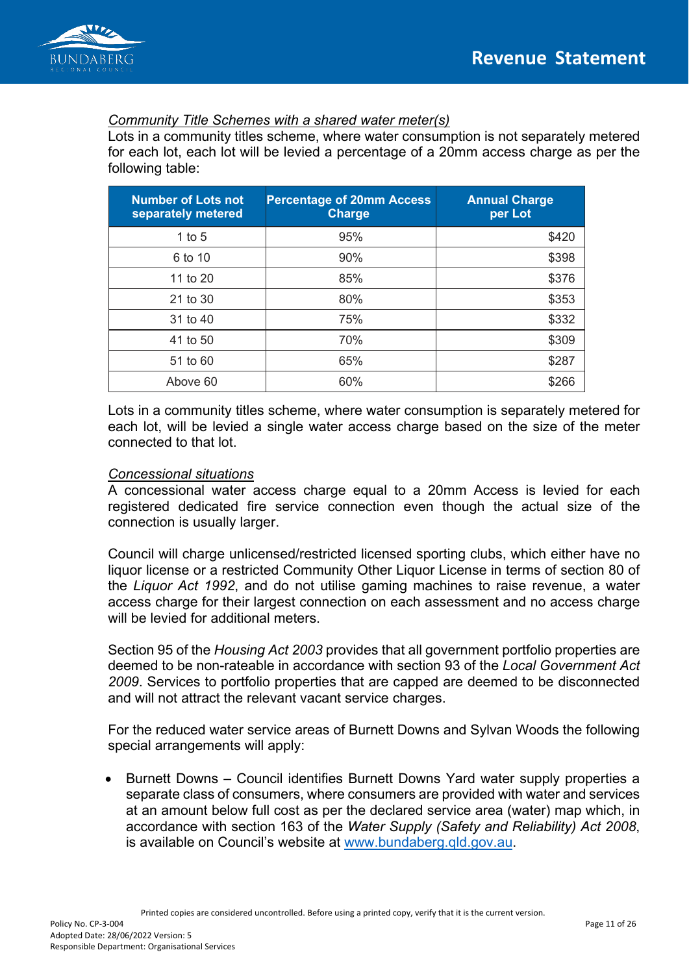

#### *Community Title Schemes with a shared water meter(s)*

Lots in a community titles scheme, where water consumption is not separately metered for each lot, each lot will be levied a percentage of a 20mm access charge as per the following table:

| <b>Number of Lots not</b><br>separately metered | <b>Percentage of 20mm Access</b><br><b>Charge</b> | <b>Annual Charge</b><br>per Lot |
|-------------------------------------------------|---------------------------------------------------|---------------------------------|
| 1 to $5$                                        | 95%                                               | \$420                           |
| 6 to 10                                         | 90%                                               | \$398                           |
| 11 to 20                                        | 85%                                               | \$376                           |
| 21 to 30                                        | 80%                                               | \$353                           |
| 31 to 40                                        | 75%                                               | \$332                           |
| 41 to 50                                        | 70%                                               | \$309                           |
| 51 to 60                                        | 65%                                               | \$287                           |
| Above 60                                        | 60%                                               | \$266                           |

Lots in a community titles scheme, where water consumption is separately metered for each lot, will be levied a single water access charge based on the size of the meter connected to that lot.

#### *Concessional situations*

A concessional water access charge equal to a 20mm Access is levied for each registered dedicated fire service connection even though the actual size of the connection is usually larger.

Council will charge unlicensed/restricted licensed sporting clubs, which either have no liquor license or a restricted Community Other Liquor License in terms of section 80 of the *Liquor Act 1992*, and do not utilise gaming machines to raise revenue, a water access charge for their largest connection on each assessment and no access charge will be levied for additional meters.

Section 95 of the *Housing Act 2003* provides that all government portfolio properties are deemed to be non-rateable in accordance with section 93 of the *Local Government Act 2009*. Services to portfolio properties that are capped are deemed to be disconnected and will not attract the relevant vacant service charges.

For the reduced water service areas of Burnett Downs and Sylvan Woods the following special arrangements will apply:

• Burnett Downs – Council identifies Burnett Downs Yard water supply properties a separate class of consumers, where consumers are provided with water and services at an amount below full cost as per the declared service area (water) map which, in accordance with section 163 of the *Water Supply (Safety and Reliability) Act 2008*, is available on Council's website at [www.bundaberg.qld.gov.au.](http://www.bundaberg.qld.gov.au/)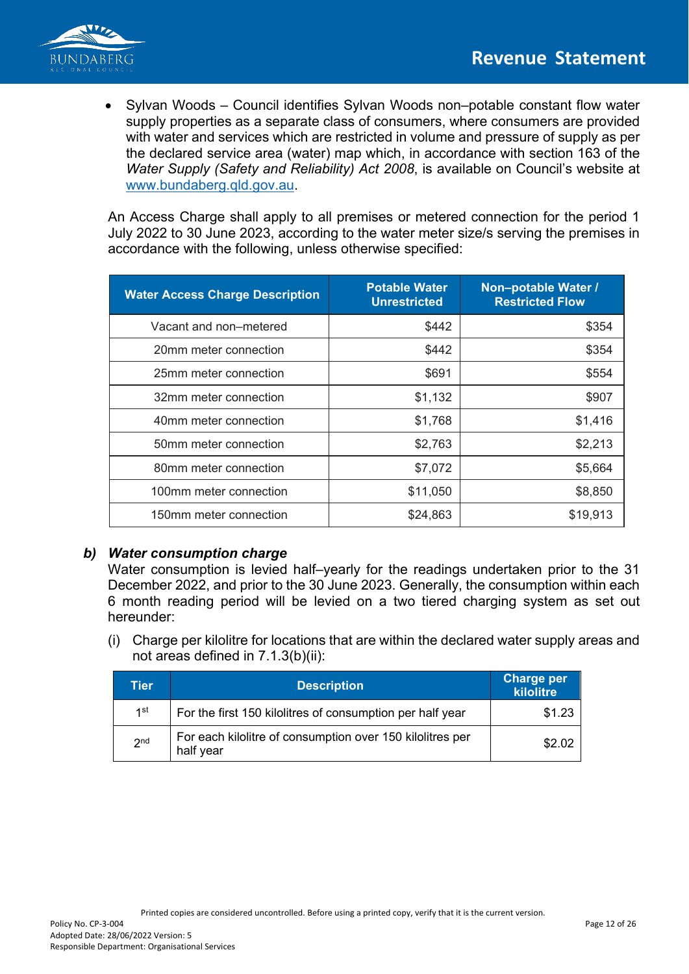

• Sylvan Woods – Council identifies Sylvan Woods non–potable constant flow water supply properties as a separate class of consumers, where consumers are provided with water and services which are restricted in volume and pressure of supply as per the declared service area (water) map which, in accordance with section 163 of the *Water Supply (Safety and Reliability) Act 2008*, is available on Council's website at [www.bundaberg.qld.gov.au.](http://www.bundaberg.qld.gov.au/)

An Access Charge shall apply to all premises or metered connection for the period 1 July 2022 to 30 June 2023, according to the water meter size/s serving the premises in accordance with the following, unless otherwise specified:

| <b>Water Access Charge Description</b> | <b>Potable Water</b><br><b>Unrestricted</b> | Non-potable Water /<br><b>Restricted Flow</b> |
|----------------------------------------|---------------------------------------------|-----------------------------------------------|
| Vacant and non-metered                 | \$442                                       | \$354                                         |
| 20mm meter connection                  | \$442                                       | \$354                                         |
| 25mm meter connection                  | \$691                                       | \$554                                         |
| 32mm meter connection                  | \$1,132                                     | \$907                                         |
| 40mm meter connection                  | \$1,768                                     | \$1,416                                       |
| 50mm meter connection                  | \$2,763                                     | \$2,213                                       |
| 80mm meter connection                  | \$7,072                                     | \$5,664                                       |
| 100mm meter connection                 | \$11,050                                    | \$8,850                                       |
| 150mm meter connection                 | \$24,863                                    | \$19,913                                      |

### *b) Water consumption charge*

Water consumption is levied half–yearly for the readings undertaken prior to the 31 December 2022, and prior to the 30 June 2023. Generally, the consumption within each 6 month reading period will be levied on a two tiered charging system as set out hereunder:

(i) Charge per kilolitre for locations that are within the declared water supply areas and not areas defined in 7.1.3(b)(ii):

| Tier            | <b>Description</b>                                                     | <b>Charge per</b><br>kilolitre |
|-----------------|------------------------------------------------------------------------|--------------------------------|
| 1st             | For the first 150 kilolitres of consumption per half year              | \$1.23                         |
| 2 <sub>nd</sub> | For each kilolitre of consumption over 150 kilolitres per<br>half year | \$2.02                         |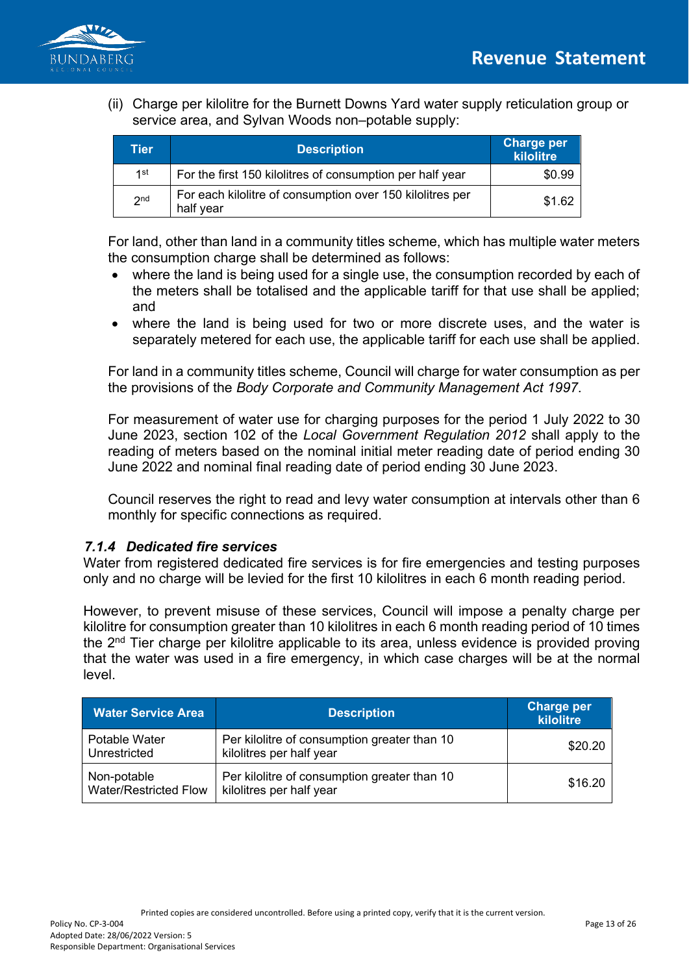

(ii) Charge per kilolitre for the Burnett Downs Yard water supply reticulation group or service area, and Sylvan Woods non–potable supply:

| Tier            | <b>Description</b>                                                     | <b>Charge per</b><br>kilolitre |
|-----------------|------------------------------------------------------------------------|--------------------------------|
| 1st             | For the first 150 kilolitres of consumption per half year              | \$0.99                         |
| 2 <sub>nd</sub> | For each kilolitre of consumption over 150 kilolitres per<br>half year | \$1.62                         |

For land, other than land in a community titles scheme, which has multiple water meters the consumption charge shall be determined as follows:

- where the land is being used for a single use, the consumption recorded by each of the meters shall be totalised and the applicable tariff for that use shall be applied; and
- where the land is being used for two or more discrete uses, and the water is separately metered for each use, the applicable tariff for each use shall be applied.

For land in a community titles scheme, Council will charge for water consumption as per the provisions of the *Body Corporate and Community Management Act 1997*.

For measurement of water use for charging purposes for the period 1 July 2022 to 30 June 2023, section 102 of the *Local Government Regulation 2012* shall apply to the reading of meters based on the nominal initial meter reading date of period ending 30 June 2022 and nominal final reading date of period ending 30 June 2023.

Council reserves the right to read and levy water consumption at intervals other than 6 monthly for specific connections as required.

### *7.1.4 Dedicated fire services*

Water from registered dedicated fire services is for fire emergencies and testing purposes only and no charge will be levied for the first 10 kilolitres in each 6 month reading period.

However, to prevent misuse of these services, Council will impose a penalty charge per kilolitre for consumption greater than 10 kilolitres in each 6 month reading period of 10 times the 2<sup>nd</sup> Tier charge per kilolitre applicable to its area, unless evidence is provided proving that the water was used in a fire emergency, in which case charges will be at the normal level.

| <b>Water Service Area</b>            | <b>Description</b>                                                       | <b>Charge per</b><br>kilolitre |
|--------------------------------------|--------------------------------------------------------------------------|--------------------------------|
| Potable Water<br>Unrestricted        | Per kilolitre of consumption greater than 10<br>kilolitres per half year | \$20.20                        |
| Non-potable<br>Water/Restricted Flow | Per kilolitre of consumption greater than 10<br>kilolitres per half year | \$16.20                        |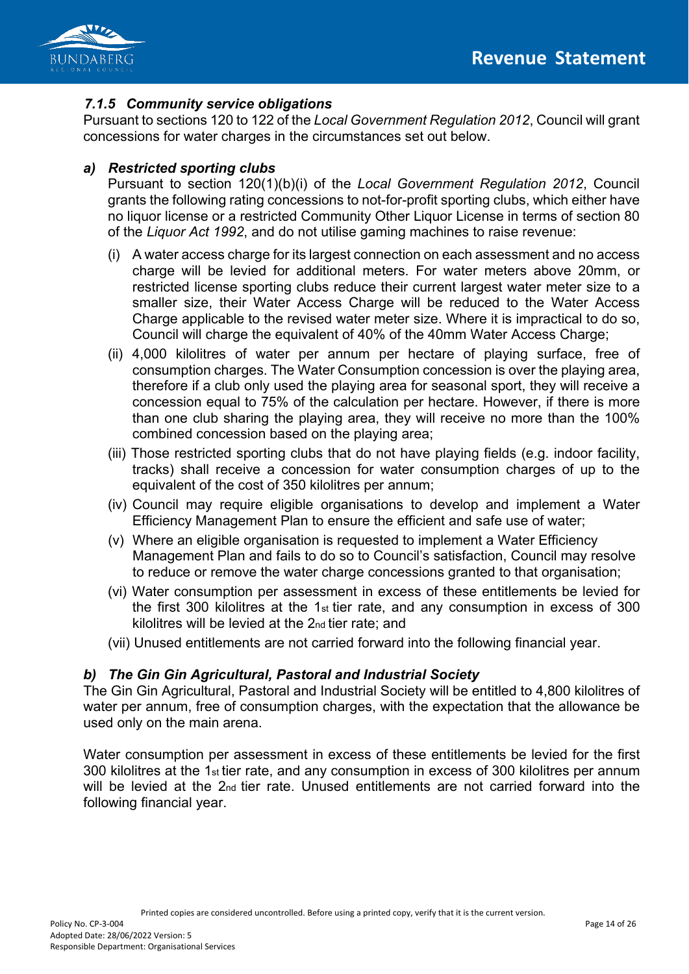

# *7.1.5 Community service obligations*

Pursuant to sections 120 to 122 of the *Local Government Regulation 2012*, Council will grant concessions for water charges in the circumstances set out below.

# *a) Restricted sporting clubs*

Pursuant to section 120(1)(b)(i) of the *Local Government Regulation 2012*, Council grants the following rating concessions to not-for-profit sporting clubs, which either have no liquor license or a restricted Community Other Liquor License in terms of section 80 of the *Liquor Act 1992*, and do not utilise gaming machines to raise revenue:

- (i) A water access charge for its largest connection on each assessment and no access charge will be levied for additional meters. For water meters above 20mm, or restricted license sporting clubs reduce their current largest water meter size to a smaller size, their Water Access Charge will be reduced to the Water Access Charge applicable to the revised water meter size. Where it is impractical to do so, Council will charge the equivalent of 40% of the 40mm Water Access Charge;
- (ii) 4,000 kilolitres of water per annum per hectare of playing surface, free of consumption charges. The Water Consumption concession is over the playing area, therefore if a club only used the playing area for seasonal sport, they will receive a concession equal to 75% of the calculation per hectare. However, if there is more than one club sharing the playing area, they will receive no more than the 100% combined concession based on the playing area;
- (iii) Those restricted sporting clubs that do not have playing fields (e.g. indoor facility, tracks) shall receive a concession for water consumption charges of up to the equivalent of the cost of 350 kilolitres per annum;
- (iv) Council may require eligible organisations to develop and implement a Water Efficiency Management Plan to ensure the efficient and safe use of water;
- (v) Where an eligible organisation is requested to implement a Water Efficiency Management Plan and fails to do so to Council's satisfaction, Council may resolve to reduce or remove the water charge concessions granted to that organisation;
- (vi) Water consumption per assessment in excess of these entitlements be levied for the first 300 kilolitres at the 1st tier rate, and any consumption in excess of 300 kilolitres will be levied at the 2nd tier rate; and
- (vii) Unused entitlements are not carried forward into the following financial year.

### *b) The Gin Gin Agricultural, Pastoral and Industrial Society*

The Gin Gin Agricultural, Pastoral and Industrial Society will be entitled to 4,800 kilolitres of water per annum, free of consumption charges, with the expectation that the allowance be used only on the main arena.

Water consumption per assessment in excess of these entitlements be levied for the first 300 kilolitres at the 1st tier rate, and any consumption in excess of 300 kilolitres per annum will be levied at the 2<sub>nd</sub> tier rate. Unused entitlements are not carried forward into the following financial year.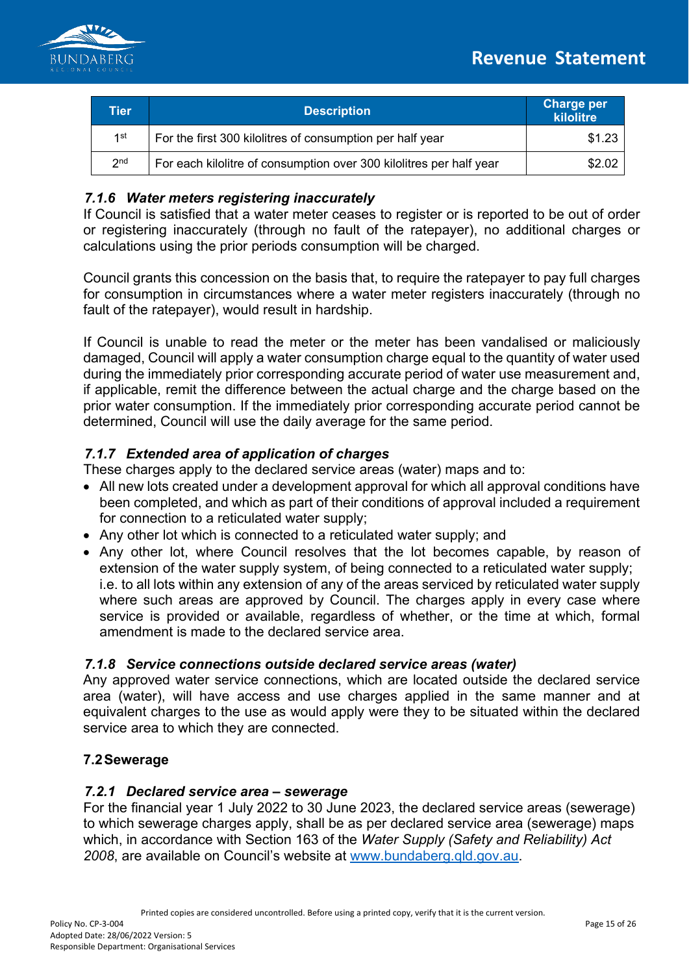

| Tier            | <b>Description</b>                                                  | <b>Charge per</b><br>kilolitre |
|-----------------|---------------------------------------------------------------------|--------------------------------|
| 1st             | For the first 300 kilolitres of consumption per half year           | \$1.23                         |
| 2 <sub>nd</sub> | For each kilolitre of consumption over 300 kilolitres per half year | \$2.02                         |

# *7.1.6 Water meters registering inaccurately*

If Council is satisfied that a water meter ceases to register or is reported to be out of order or registering inaccurately (through no fault of the ratepayer), no additional charges or calculations using the prior periods consumption will be charged.

Council grants this concession on the basis that, to require the ratepayer to pay full charges for consumption in circumstances where a water meter registers inaccurately (through no fault of the ratepayer), would result in hardship.

If Council is unable to read the meter or the meter has been vandalised or maliciously damaged, Council will apply a water consumption charge equal to the quantity of water used during the immediately prior corresponding accurate period of water use measurement and, if applicable, remit the difference between the actual charge and the charge based on the prior water consumption. If the immediately prior corresponding accurate period cannot be determined, Council will use the daily average for the same period.

# *7.1.7 Extended area of application of charges*

These charges apply to the declared service areas (water) maps and to:

- All new lots created under a development approval for which all approval conditions have been completed, and which as part of their conditions of approval included a requirement for connection to a reticulated water supply;
- Any other lot which is connected to a reticulated water supply; and
- Any other lot, where Council resolves that the lot becomes capable, by reason of extension of the water supply system, of being connected to a reticulated water supply; i.e. to all lots within any extension of any of the areas serviced by reticulated water supply where such areas are approved by Council. The charges apply in every case where service is provided or available, regardless of whether, or the time at which, formal amendment is made to the declared service area.

### *7.1.8 Service connections outside declared service areas (water)*

Any approved water service connections, which are located outside the declared service area (water), will have access and use charges applied in the same manner and at equivalent charges to the use as would apply were they to be situated within the declared service area to which they are connected.

### **7.2Sewerage**

#### *7.2.1 Declared service area – sewerage*

For the financial year 1 July 2022 to 30 June 2023, the declared service areas (sewerage) to which sewerage charges apply, shall be as per declared service area (sewerage) maps which, in accordance with Section 163 of the *Water Supply (Safety and Reliability) Act 2008*, are available on Council's website at [www.bundaberg.qld.gov.au.](http://www.bundaberg.qld.gov.au/)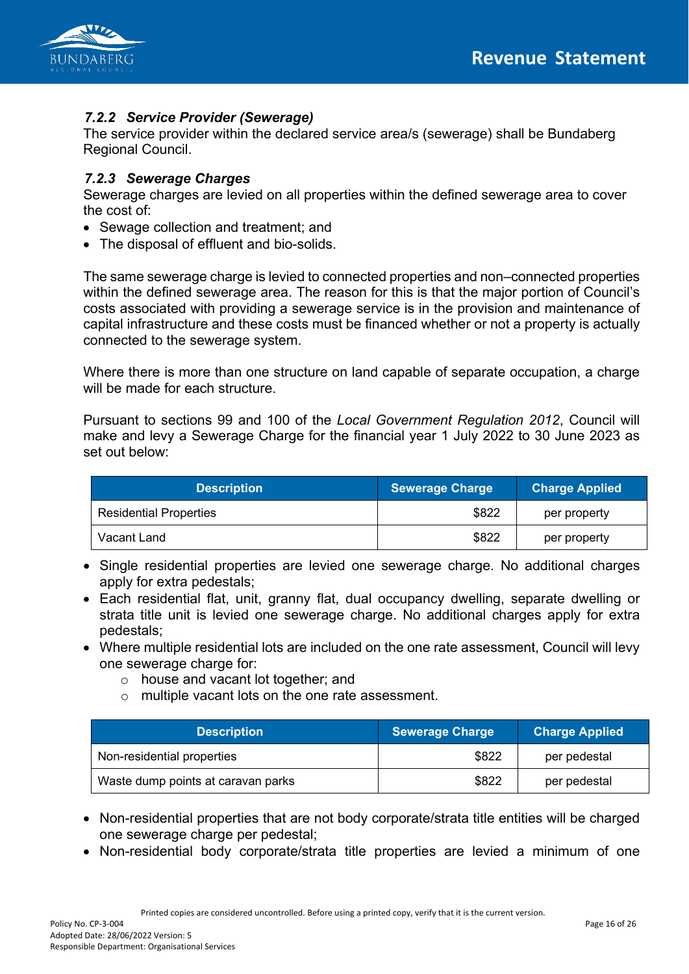

# *7.2.2 Service Provider (Sewerage)*

The service provider within the declared service area/s (sewerage) shall be Bundaberg Regional Council.

#### *7.2.3 Sewerage Charges*

Sewerage charges are levied on all properties within the defined sewerage area to cover the cost of:

- Sewage collection and treatment; and
- The disposal of effluent and bio-solids.

The same sewerage charge is levied to connected properties and non–connected properties within the defined sewerage area. The reason for this is that the major portion of Council's costs associated with providing a sewerage service is in the provision and maintenance of capital infrastructure and these costs must be financed whether or not a property is actually connected to the sewerage system.

Where there is more than one structure on land capable of separate occupation, a charge will be made for each structure.

Pursuant to sections 99 and 100 of the *Local Government Regulation 2012*, Council will make and levy a Sewerage Charge for the financial year 1 July 2022 to 30 June 2023 as set out below:

| <b>Description</b>            | Sewerage Charge | <b>Charge Applied</b> |
|-------------------------------|-----------------|-----------------------|
| <b>Residential Properties</b> | \$822           | per property          |
| Vacant Land                   | \$822           | per property          |

- Single residential properties are levied one sewerage charge. No additional charges apply for extra pedestals;
- Each residential flat, unit, granny flat, dual occupancy dwelling, separate dwelling or strata title unit is levied one sewerage charge. No additional charges apply for extra pedestals;
- Where multiple residential lots are included on the one rate assessment, Council will levy one sewerage charge for:
	- o house and vacant lot together; and
	- o multiple vacant lots on the one rate assessment.

| <b>Description</b>                 | Sewerage Charge | <b>Charge Applied</b> |
|------------------------------------|-----------------|-----------------------|
| Non-residential properties         | \$822           | per pedestal          |
| Waste dump points at caravan parks | \$822           | per pedestal          |

- Non-residential properties that are not body corporate/strata title entities will be charged one sewerage charge per pedestal;
- Non-residential body corporate/strata title properties are levied a minimum of one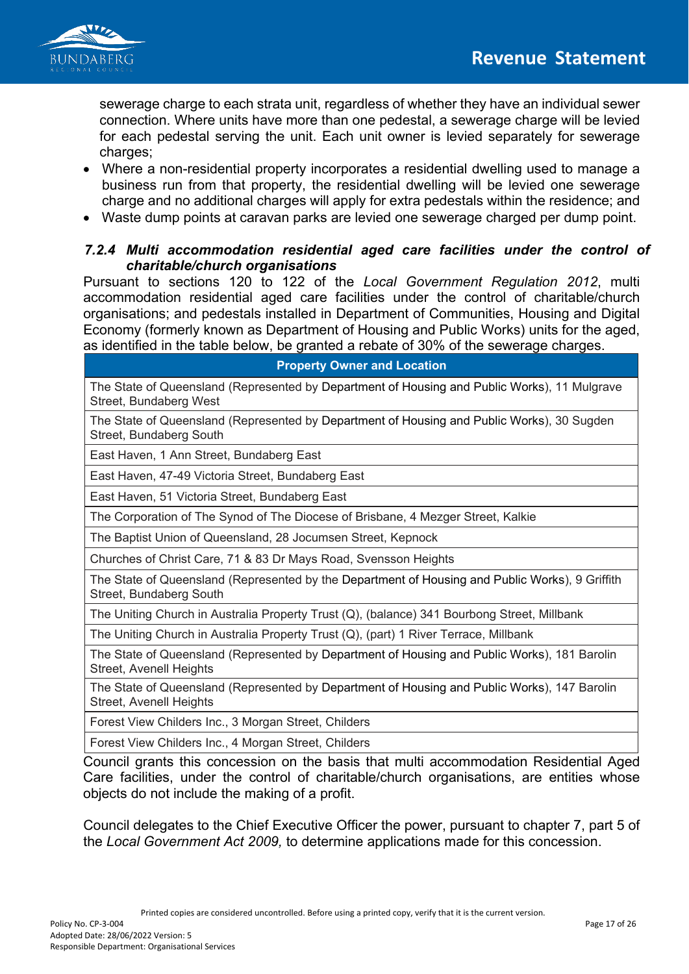

sewerage charge to each strata unit, regardless of whether they have an individual sewer connection. Where units have more than one pedestal, a sewerage charge will be levied for each pedestal serving the unit. Each unit owner is levied separately for sewerage charges;

- Where a non-residential property incorporates a residential dwelling used to manage a business run from that property, the residential dwelling will be levied one sewerage charge and no additional charges will apply for extra pedestals within the residence; and
- Waste dump points at caravan parks are levied one sewerage charged per dump point.

## *7.2.4 Multi accommodation residential aged care facilities under the control of charitable/church organisations*

Pursuant to sections 120 to 122 of the *Local Government Regulation 2012*, multi accommodation residential aged care facilities under the control of charitable/church organisations; and pedestals installed in Department of Communities, Housing and Digital Economy (formerly known as Department of Housing and Public Works) units for the aged, as identified in the table below, be granted a rebate of 30% of the sewerage charges.

**Property Owner and Location**

The State of Queensland (Represented by Department of Housing and Public Works), 11 Mulgrave Street, Bundaberg West

The State of Queensland (Represented by Department of Housing and Public Works), 30 Sugden Street, Bundaberg South

East Haven, 1 Ann Street, Bundaberg East

East Haven, 47-49 Victoria Street, Bundaberg East

East Haven, 51 Victoria Street, Bundaberg East

The Corporation of The Synod of The Diocese of Brisbane, 4 Mezger Street, Kalkie

The Baptist Union of Queensland, 28 Jocumsen Street, Kepnock

Churches of Christ Care, 71 & 83 Dr Mays Road, Svensson Heights

The State of Queensland (Represented by the Department of Housing and Public Works), 9 Griffith Street, Bundaberg South

The Uniting Church in Australia Property Trust (Q), (balance) 341 Bourbong Street, Millbank

The Uniting Church in Australia Property Trust (Q), (part) 1 River Terrace, Millbank

The State of Queensland (Represented by Department of Housing and Public Works), 181 Barolin Street, Avenell Heights

The State of Queensland (Represented by Department of Housing and Public Works), 147 Barolin Street, Avenell Heights

Forest View Childers Inc., 3 Morgan Street, Childers

Forest View Childers Inc., 4 Morgan Street, Childers

Council grants this concession on the basis that multi accommodation Residential Aged Care facilities, under the control of charitable/church organisations, are entities whose objects do not include the making of a profit.

Council delegates to the Chief Executive Officer the power, pursuant to chapter 7, part 5 of the *Local Government Act 2009,* to determine applications made for this concession.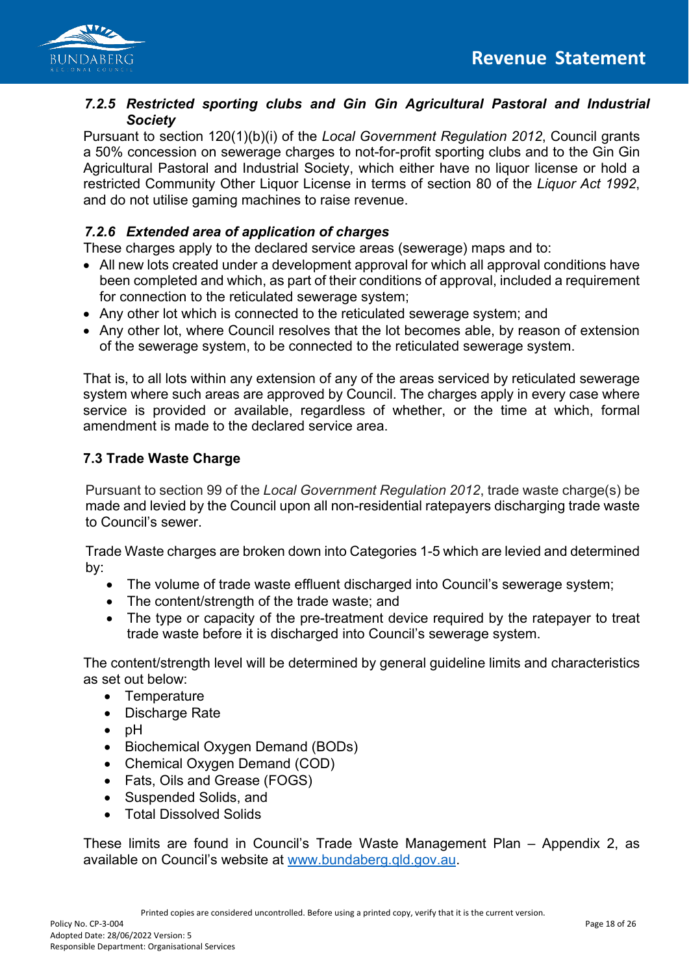

### *7.2.5 Restricted sporting clubs and Gin Gin Agricultural Pastoral and Industrial Society*

Pursuant to section 120(1)(b)(i) of the *Local Government Regulation 2012*, Council grants a 50% concession on sewerage charges to not-for-profit sporting clubs and to the Gin Gin Agricultural Pastoral and Industrial Society, which either have no liquor license or hold a restricted Community Other Liquor License in terms of section 80 of the *Liquor Act 1992*, and do not utilise gaming machines to raise revenue.

# *7.2.6 Extended area of application of charges*

These charges apply to the declared service areas (sewerage) maps and to:

- All new lots created under a development approval for which all approval conditions have been completed and which, as part of their conditions of approval, included a requirement for connection to the reticulated sewerage system;
- Any other lot which is connected to the reticulated sewerage system; and
- Any other lot, where Council resolves that the lot becomes able, by reason of extension of the sewerage system, to be connected to the reticulated sewerage system.

That is, to all lots within any extension of any of the areas serviced by reticulated sewerage system where such areas are approved by Council. The charges apply in every case where service is provided or available, regardless of whether, or the time at which, formal amendment is made to the declared service area.

# **7.3 Trade Waste Charge**

Pursuant to section 99 of the *Local Government Regulation 2012*, trade waste charge(s) be made and levied by the Council upon all non-residential ratepayers discharging trade waste to Council's sewer.

Trade Waste charges are broken down into Categories 1-5 which are levied and determined by:

- The volume of trade waste effluent discharged into Council's sewerage system;
- The content/strength of the trade waste; and
- The type or capacity of the pre-treatment device required by the ratepayer to treat trade waste before it is discharged into Council's sewerage system.

The content/strength level will be determined by general guideline limits and characteristics as set out below:

- Temperature
- Discharge Rate
- pH
- Biochemical Oxygen Demand (BODs)
- Chemical Oxygen Demand (COD)
- Fats, Oils and Grease (FOGS)
- Suspended Solids, and
- Total Dissolved Solids

These limits are found in Council's Trade Waste Management Plan – Appendix 2, as available on Council's website at [www.bundaberg.qld.gov.au.](http://www.bundaberg.qld.gov.au/)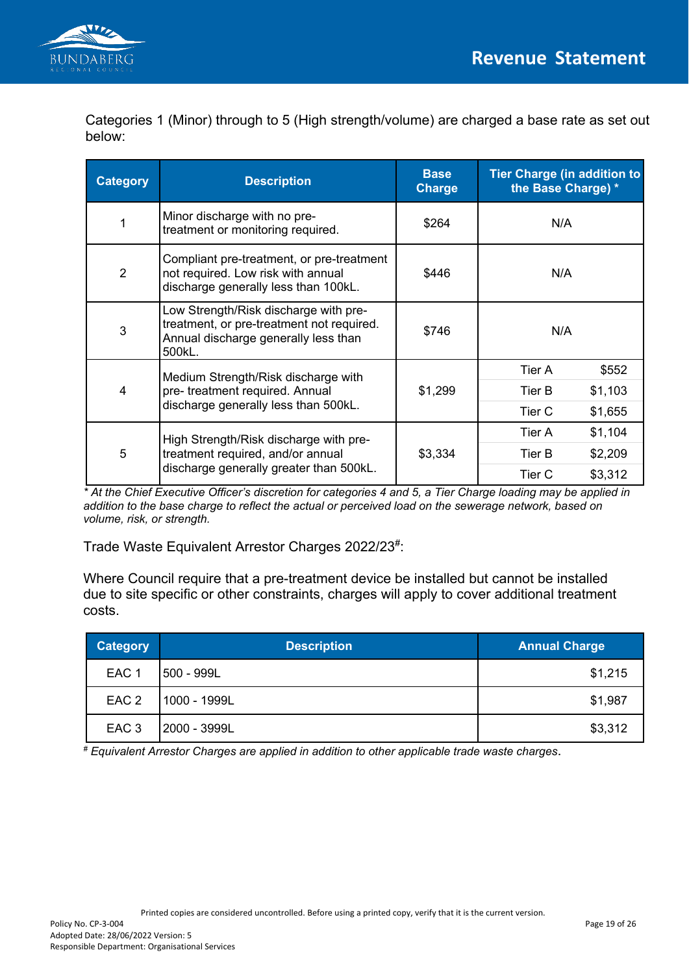

Categories 1 (Minor) through to 5 (High strength/volume) are charged a base rate as set out below:

| <b>Category</b> | <b>Description</b>                                                                                                                   | <b>Base</b><br><b>Charge</b> | <b>Tier Charge (in addition to</b><br>the Base Charge) * |
|-----------------|--------------------------------------------------------------------------------------------------------------------------------------|------------------------------|----------------------------------------------------------|
|                 | Minor discharge with no pre-<br>treatment or monitoring required.                                                                    | \$264                        | N/A                                                      |
| $\overline{2}$  | Compliant pre-treatment, or pre-treatment<br>not required. Low risk with annual<br>discharge generally less than 100kL.              | \$446                        | N/A                                                      |
| 3               | Low Strength/Risk discharge with pre-<br>treatment, or pre-treatment not required.<br>Annual discharge generally less than<br>500kL. | \$746                        | N/A                                                      |
|                 | Medium Strength/Risk discharge with                                                                                                  |                              | \$552<br>Tier A                                          |
| $\overline{4}$  | pre- treatment required. Annual                                                                                                      | \$1,299<br>Tier B            | \$1,103                                                  |
|                 | discharge generally less than 500kL.                                                                                                 |                              | Tier C<br>\$1,655                                        |
|                 | High Strength/Risk discharge with pre-                                                                                               |                              | Tier A<br>\$1,104                                        |
| 5               | treatment required, and/or annual                                                                                                    | \$3,334                      | Tier B<br>\$2,209                                        |
|                 | discharge generally greater than 500kL.                                                                                              |                              | \$3,312<br>Tier C                                        |

*\* At the Chief Executive Officer's discretion for categories 4 and 5, a Tier Charge loading may be applied in addition to the base charge to reflect the actual or perceived load on the sewerage network, based on volume, risk, or strength.*

Trade Waste Equivalent Arrestor Charges 2022/23#:

Where Council require that a pre-treatment device be installed but cannot be installed due to site specific or other constraints, charges will apply to cover additional treatment costs.

| <b>Category</b>  | <b>Description</b> | <b>Annual Charge</b> |
|------------------|--------------------|----------------------|
| EAC <sub>1</sub> | 500 - 999L         | \$1,215              |
| EAC <sub>2</sub> | 1000 - 1999L       | \$1,987              |
| EAC <sub>3</sub> | 2000 - 3999L       | \$3,312              |

*# Equivalent Arrestor Charges are applied in addition to other applicable trade waste charges*.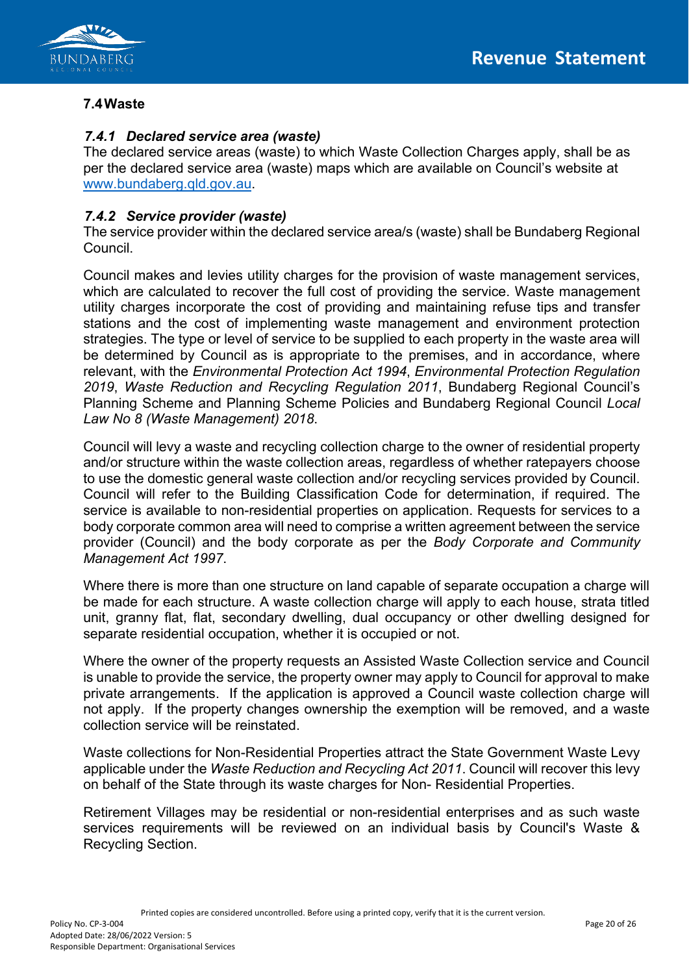



#### **7.4Waste**

#### *7.4.1 Declared service area (waste)*

The declared service areas (waste) to which Waste Collection Charges apply, shall be as per the declared service area (waste) maps which are available on Council's website at [www.bundaberg.qld.gov.au.](http://www.bundaberg.qld.gov.au/)

### *7.4.2 Service provider (waste)*

The service provider within the declared service area/s (waste) shall be Bundaberg Regional Council.

Council makes and levies utility charges for the provision of waste management services, which are calculated to recover the full cost of providing the service. Waste management utility charges incorporate the cost of providing and maintaining refuse tips and transfer stations and the cost of implementing waste management and environment protection strategies. The type or level of service to be supplied to each property in the waste area will be determined by Council as is appropriate to the premises, and in accordance, where relevant, with the *Environmental Protection Act 1994*, *Environmental Protection Regulation 2019*, *Waste Reduction and Recycling Regulation 2011*, Bundaberg Regional Council's Planning Scheme and Planning Scheme Policies and Bundaberg Regional Council *Local Law No 8 (Waste Management) 2018*.

Council will levy a waste and recycling collection charge to the owner of residential property and/or structure within the waste collection areas, regardless of whether ratepayers choose to use the domestic general waste collection and/or recycling services provided by Council. Council will refer to the Building Classification Code for determination, if required. The service is available to non-residential properties on application. Requests for services to a body corporate common area will need to comprise a written agreement between the service provider (Council) and the body corporate as per the *Body Corporate and Community Management Act 1997*.

Where there is more than one structure on land capable of separate occupation a charge will be made for each structure. A waste collection charge will apply to each house, strata titled unit, granny flat, flat, secondary dwelling, dual occupancy or other dwelling designed for separate residential occupation, whether it is occupied or not.

Where the owner of the property requests an Assisted Waste Collection service and Council is unable to provide the service, the property owner may apply to Council for approval to make private arrangements. If the application is approved a Council waste collection charge will not apply. If the property changes ownership the exemption will be removed, and a waste collection service will be reinstated.

Waste collections for Non-Residential Properties attract the State Government Waste Levy applicable under the *Waste Reduction and Recycling Act 2011*. Council will recover this levy on behalf of the State through its waste charges for Non- Residential Properties.

Retirement Villages may be residential or non-residential enterprises and as such waste services requirements will be reviewed on an individual basis by Council's Waste & Recycling Section.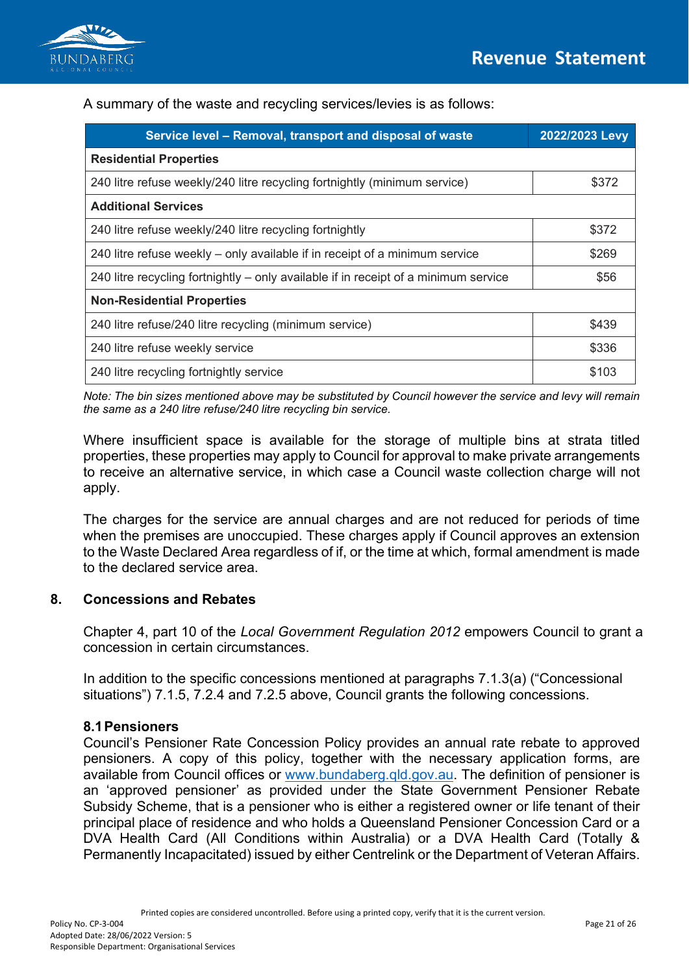

A summary of the waste and recycling services/levies is as follows:

| Service level - Removal, transport and disposal of waste                            | 2022/2023 Levy |  |  |
|-------------------------------------------------------------------------------------|----------------|--|--|
| <b>Residential Properties</b>                                                       |                |  |  |
| 240 litre refuse weekly/240 litre recycling fortnightly (minimum service)           | \$372          |  |  |
| <b>Additional Services</b>                                                          |                |  |  |
| 240 litre refuse weekly/240 litre recycling fortnightly                             | \$372          |  |  |
| 240 litre refuse weekly – only available if in receipt of a minimum service         | \$269          |  |  |
| 240 litre recycling fortnightly – only available if in receipt of a minimum service | \$56           |  |  |
| <b>Non-Residential Properties</b>                                                   |                |  |  |
| 240 litre refuse/240 litre recycling (minimum service)                              | \$439          |  |  |
| 240 litre refuse weekly service                                                     | \$336          |  |  |
| 240 litre recycling fortnightly service                                             | \$103          |  |  |

*Note: The bin sizes mentioned above may be substituted by Council however the service and levy will remain the same as a 240 litre refuse/240 litre recycling bin service.*

Where insufficient space is available for the storage of multiple bins at strata titled properties, these properties may apply to Council for approval to make private arrangements to receive an alternative service, in which case a Council waste collection charge will not apply.

The charges for the service are annual charges and are not reduced for periods of time when the premises are unoccupied. These charges apply if Council approves an extension to the Waste Declared Area regardless of if, or the time at which, formal amendment is made to the declared service area.

### **8. Concessions and Rebates**

Chapter 4, part 10 of the *Local Government Regulation 2012* empowers Council to grant a concession in certain circumstances.

In addition to the specific concessions mentioned at paragraphs 7.1.3(a) ("Concessional situations") 7.1.5, 7.2.4 and 7.2.5 above, Council grants the following concessions.

### **8.1Pensioners**

Council's Pensioner Rate Concession Policy provides an annual rate rebate to approved pensioners. A copy of this policy, together with the necessary application forms, are available from Council offices or [www.bundaberg.qld.gov.au. T](http://www.bundaberg.qld.gov.au/)he definition of pensioner is an 'approved pensioner' as provided under the State Government Pensioner Rebate Subsidy Scheme, that is a pensioner who is either a registered owner or life tenant of their principal place of residence and who holds a Queensland Pensioner Concession Card or a DVA Health Card (All Conditions within Australia) or a DVA Health Card (Totally & Permanently Incapacitated) issued by either Centrelink or the Department of Veteran Affairs.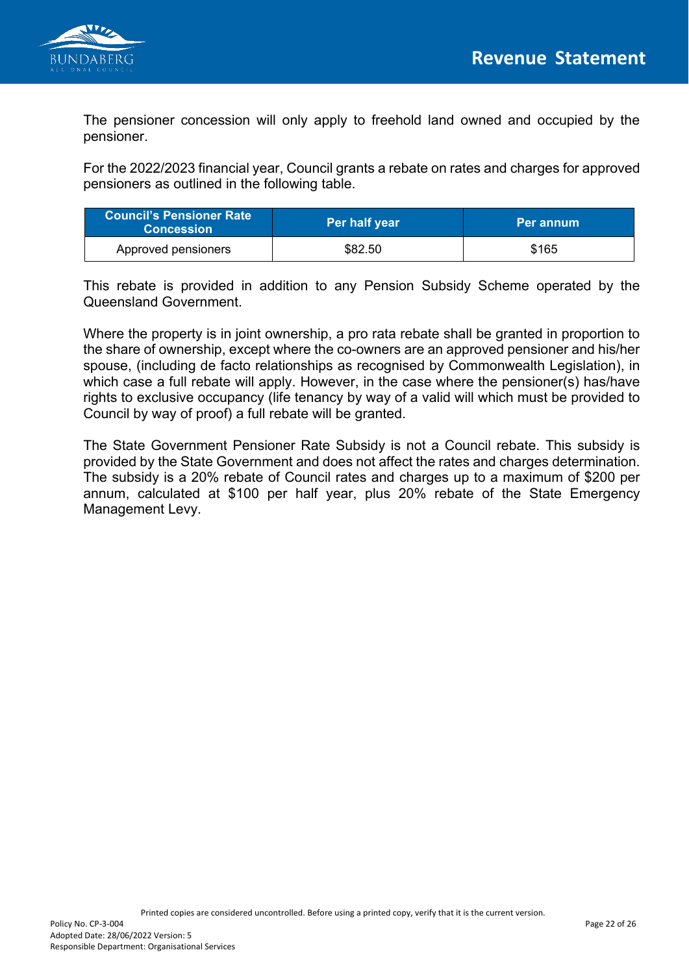

The pensioner concession will only apply to freehold land owned and occupied by the pensioner.

For the 2022/2023 financial year, Council grants a rebate on rates and charges for approved pensioners as outlined in the following table.

| <b>Council's Pensioner Rate</b><br><b>Concession</b> \ | Per half year | Per annum |
|--------------------------------------------------------|---------------|-----------|
| Approved pensioners                                    | \$82.50       | \$165     |

This rebate is provided in addition to any Pension Subsidy Scheme operated by the Queensland Government.

Where the property is in joint ownership, a pro rata rebate shall be granted in proportion to the share of ownership, except where the co-owners are an approved pensioner and his/her spouse, (including de facto relationships as recognised by Commonwealth Legislation), in which case a full rebate will apply. However, in the case where the pensioner(s) has/have rights to exclusive occupancy (life tenancy by way of a valid will which must be provided to Council by way of proof) a full rebate will be granted.

The State Government Pensioner Rate Subsidy is not a Council rebate. This subsidy is provided by the State Government and does not affect the rates and charges determination. The subsidy is a 20% rebate of Council rates and charges up to a maximum of \$200 per annum, calculated at \$100 per half year, plus 20% rebate of the State Emergency Management Levy.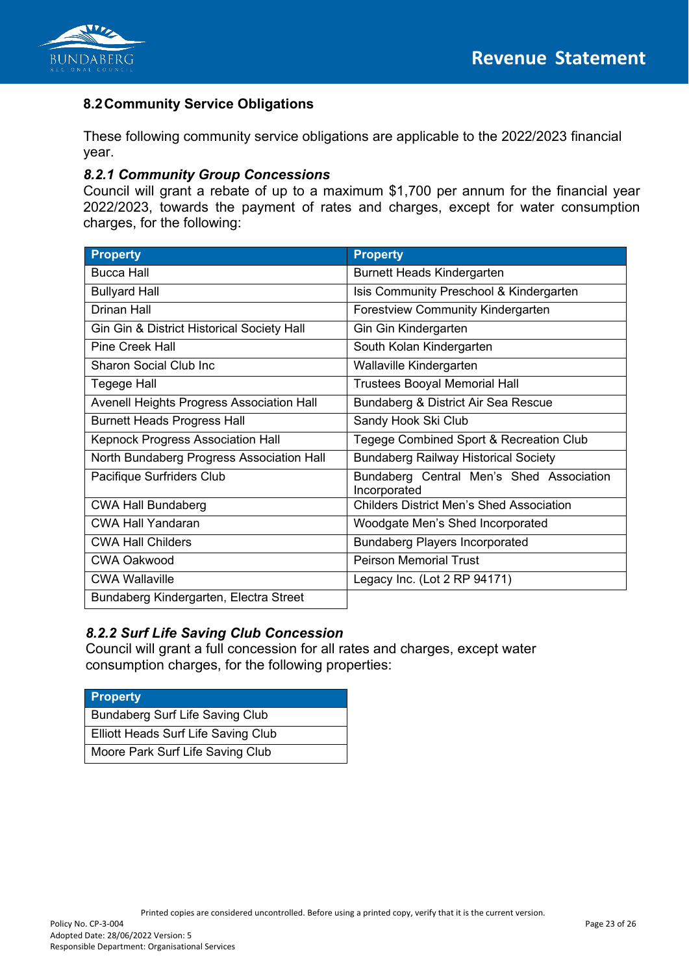

# **8.2Community Service Obligations**

These following community service obligations are applicable to the 2022/2023 financial year.

#### *8.2.1 Community Group Concessions*

Council will grant a rebate of up to a maximum \$1,700 per annum for the financial year 2022/2023, towards the payment of rates and charges, except for water consumption charges, for the following:

| <b>Property</b>                            | <b>Property</b>                                          |
|--------------------------------------------|----------------------------------------------------------|
| <b>Bucca Hall</b>                          | <b>Burnett Heads Kindergarten</b>                        |
| <b>Bullyard Hall</b>                       | Isis Community Preschool & Kindergarten                  |
| Drinan Hall                                | <b>Forestview Community Kindergarten</b>                 |
| Gin Gin & District Historical Society Hall | Gin Gin Kindergarten                                     |
| <b>Pine Creek Hall</b>                     | South Kolan Kindergarten                                 |
| <b>Sharon Social Club Inc.</b>             | Wallaville Kindergarten                                  |
| Tegege Hall                                | <b>Trustees Booyal Memorial Hall</b>                     |
| Avenell Heights Progress Association Hall  | Bundaberg & District Air Sea Rescue                      |
| <b>Burnett Heads Progress Hall</b>         | Sandy Hook Ski Club                                      |
| Kepnock Progress Association Hall          | Tegege Combined Sport & Recreation Club                  |
| North Bundaberg Progress Association Hall  | <b>Bundaberg Railway Historical Society</b>              |
| Pacifique Surfriders Club                  | Bundaberg Central Men's Shed Association<br>Incorporated |
| <b>CWA Hall Bundaberg</b>                  | <b>Childers District Men's Shed Association</b>          |
| <b>CWA Hall Yandaran</b>                   | Woodgate Men's Shed Incorporated                         |
| <b>CWA Hall Childers</b>                   | <b>Bundaberg Players Incorporated</b>                    |
| <b>CWA Oakwood</b>                         | <b>Peirson Memorial Trust</b>                            |
| <b>CWA Wallaville</b>                      | Legacy Inc. (Lot 2 RP 94171)                             |
| Bundaberg Kindergarten, Electra Street     |                                                          |

### *8.2.2 Surf Life Saving Club Concession*

Council will grant a full concession for all rates and charges, except water consumption charges, for the following properties:

| Property                            |
|-------------------------------------|
| Bundaberg Surf Life Saving Club     |
| Elliott Heads Surf Life Saving Club |
| Moore Park Surf Life Saving Club    |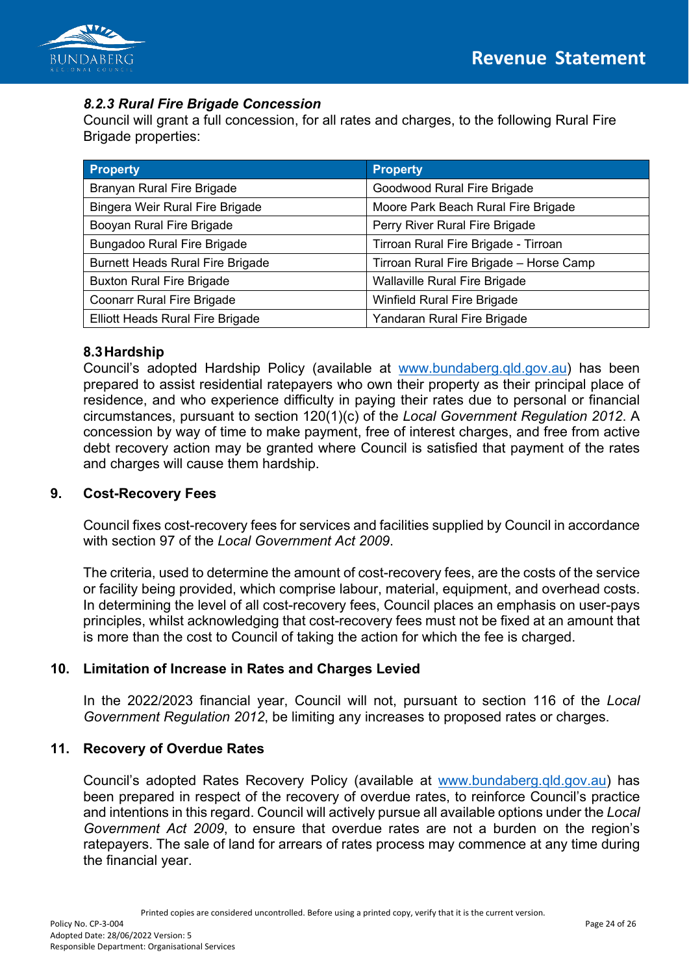

# *8.2.3 Rural Fire Brigade Concession*

Council will grant a full concession, for all rates and charges, to the following Rural Fire Brigade properties:

| <b>Property</b>                         | <b>Property</b>                         |
|-----------------------------------------|-----------------------------------------|
| Branyan Rural Fire Brigade              | Goodwood Rural Fire Brigade             |
| Bingera Weir Rural Fire Brigade         | Moore Park Beach Rural Fire Brigade     |
| Booyan Rural Fire Brigade               | Perry River Rural Fire Brigade          |
| Bungadoo Rural Fire Brigade             | Tirroan Rural Fire Brigade - Tirroan    |
| <b>Burnett Heads Rural Fire Brigade</b> | Tirroan Rural Fire Brigade - Horse Camp |
| <b>Buxton Rural Fire Brigade</b>        | <b>Wallaville Rural Fire Brigade</b>    |
| <b>Coonarr Rural Fire Brigade</b>       | <b>Winfield Rural Fire Brigade</b>      |
| Elliott Heads Rural Fire Brigade        | Yandaran Rural Fire Brigade             |

### **8.3Hardship**

Council's adopted Hardship Policy (available at www.bundaberg.qld.gov.au) has been prepared to assist residential ratepayers who own their property as their principal place of residence, and who experience difficulty in paying their rates due to personal or financial circumstances, pursuant to section 120(1)(c) of the *Local Government Regulation 2012*. A concession by way of time to make payment, free of interest charges, and free from active debt recovery action may be granted where Council is satisfied that payment of the rates and charges will cause them hardship.

### **9. Cost-Recovery Fees**

Council fixes cost-recovery fees for services and facilities supplied by Council in accordance with section 97 of the *Local Government Act 2009*.

The criteria, used to determine the amount of cost-recovery fees, are the costs of the service or facility being provided, which comprise labour, material, equipment, and overhead costs. In determining the level of all cost-recovery fees, Council places an emphasis on user-pays principles, whilst acknowledging that cost-recovery fees must not be fixed at an amount that is more than the cost to Council of taking the action for which the fee is charged.

### **10. Limitation of Increase in Rates and Charges Levied**

In the 2022/2023 financial year, Council will not, pursuant to section 116 of the *Local Government Regulation 2012*, be limiting any increases to proposed rates or charges.

### **11. Recovery of Overdue Rates**

Council's adopted Rates Recovery Policy (available at www.bundaberg.qld.gov.au) has been prepared in respect of the recovery of overdue rates, to reinforce Council's practice and intentions in this regard. Council will actively pursue all available options under the *Local Government Act 2009*, to ensure that overdue rates are not a burden on the region's ratepayers. The sale of land for arrears of rates process may commence at any time during the financial year.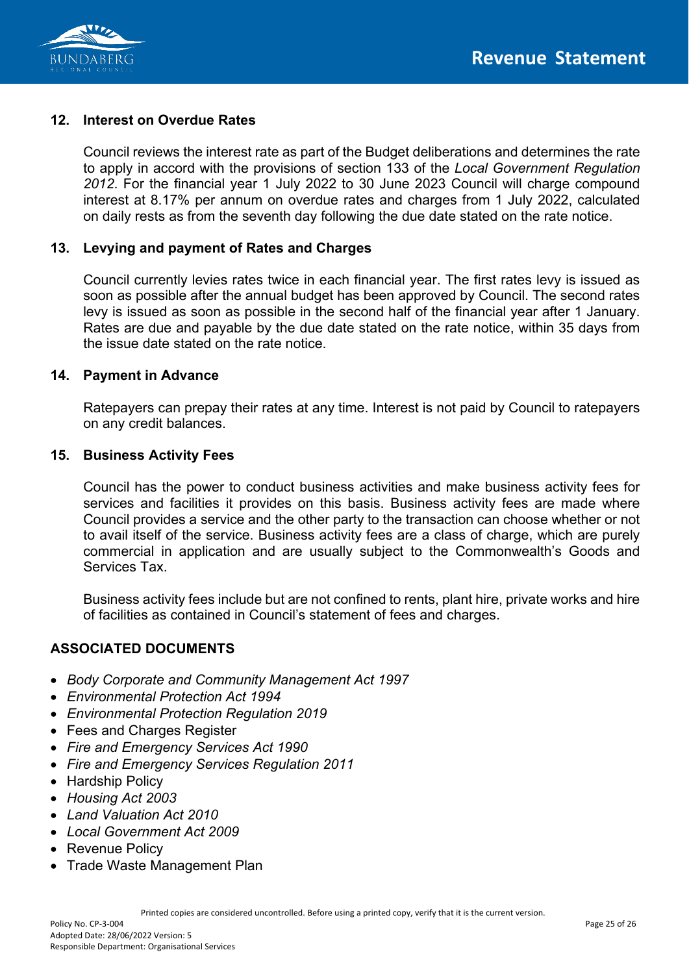

# **12. Interest on Overdue Rates**

Council reviews the interest rate as part of the Budget deliberations and determines the rate to apply in accord with the provisions of section 133 of the *Local Government Regulation 2012*. For the financial year 1 July 2022 to 30 June 2023 Council will charge compound interest at 8.17% per annum on overdue rates and charges from 1 July 2022, calculated on daily rests as from the seventh day following the due date stated on the rate notice.

#### **13. Levying and payment of Rates and Charges**

Council currently levies rates twice in each financial year. The first rates levy is issued as soon as possible after the annual budget has been approved by Council. The second rates levy is issued as soon as possible in the second half of the financial year after 1 January. Rates are due and payable by the due date stated on the rate notice, within 35 days from the issue date stated on the rate notice.

#### **14. Payment in Advance**

Ratepayers can prepay their rates at any time. Interest is not paid by Council to ratepayers on any credit balances.

#### **15. Business Activity Fees**

Council has the power to conduct business activities and make business activity fees for services and facilities it provides on this basis. Business activity fees are made where Council provides a service and the other party to the transaction can choose whether or not to avail itself of the service. Business activity fees are a class of charge, which are purely commercial in application and are usually subject to the Commonwealth's Goods and Services Tax.

Business activity fees include but are not confined to rents, plant hire, private works and hire of facilities as contained in Council's statement of fees and charges.

### **ASSOCIATED DOCUMENTS**

- *Body Corporate and Community Management Act 1997*
- *Environmental Protection Act 1994*
- *Environmental Protection Regulation 2019*
- Fees and Charges Register
- *Fire and Emergency Services Act 1990*
- *Fire and Emergency Services Regulation 2011*
- Hardship Policy
- *Housing Act 2003*
- *Land Valuation Act 2010*
- *Local Government Act 2009*
- Revenue Policy
- Trade Waste Management Plan